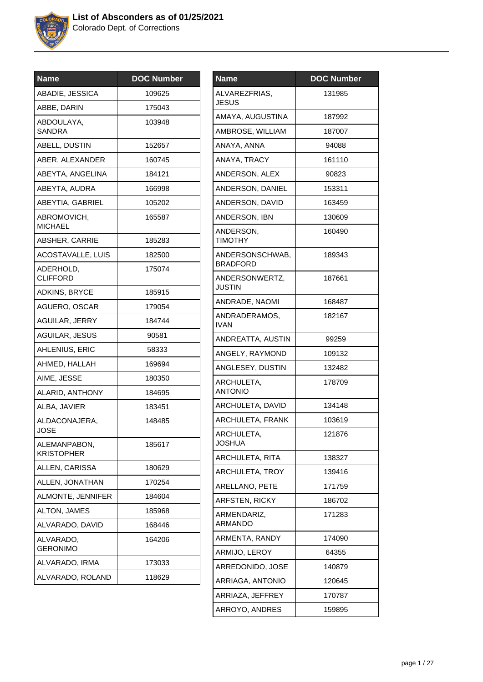

| Name                              | <b>DOC Number</b> |
|-----------------------------------|-------------------|
| ABADIE, JESSICA                   | 109625            |
| ABBE, DARIN                       | 175043            |
| ABDOULAYA,<br>SANDRA              | 103948            |
| ABELL, DUSTIN                     | 152657            |
| ABER, ALEXANDER                   | 160745            |
| ABEYTA, ANGELINA                  | 184121            |
| ABEYTA, AUDRA                     | 166998            |
| ABEYTIA, GABRIEL                  | 105202            |
| ABROMOVICH,<br><b>MICHAEL</b>     | 165587            |
| ABSHER, CARRIE                    | 185283            |
| ACOSTAVALLE, LUIS                 | 182500            |
| ADERHOLD,<br><b>CLIFFORD</b>      | 175074            |
| <b>ADKINS, BRYCE</b>              | 185915            |
| AGUERO, OSCAR                     | 179054            |
| <b>AGUILAR, JERRY</b>             | 184744            |
| <b>AGUILAR, JESUS</b>             | 90581             |
| AHLENIUS, ERIC                    | 58333             |
| AHMED, HALLAH                     | 169694            |
| AIME, JESSE                       | 180350            |
| ALARID, ANTHONY                   | 184695            |
| ALBA, JAVIER                      | 183451            |
| ALDACONAJERA,<br><b>JOSE</b>      | 148485            |
| ALEMANPABON,<br><b>KRISTOPHER</b> | 185617            |
| ALLEN, CARISSA                    | 180629            |
| ALLEN, JONATHAN                   | 170254            |
| ALMONTE, JENNIFER                 | 184604            |
| ALTON, JAMES                      | 185968            |
| ALVARADO, DAVID                   | 168446            |
| ALVARADO,<br><b>GERONIMO</b>      | 164206            |
| ALVARADO, IRMA                    | 173033            |
| ALVARADO, ROLAND                  | 118629            |
|                                   |                   |

| <b>Name</b>                     | <b>DOC Number</b> |
|---------------------------------|-------------------|
| ALVAREZFRIAS,<br>JESUS          | 131985            |
| AMAYA, AUGUSTINA                | 187992            |
| AMBROSE, WILLIAM                | 187007            |
| ANAYA, ANNA                     | 94088             |
| ANAYA, TRACY                    | 161110            |
| ANDERSON, ALEX                  | 90823             |
| ANDERSON, DANIEL                | 153311            |
| ANDERSON, DAVID                 | 163459            |
| ANDERSON, IBN                   | 130609            |
| ANDERSON,<br><b>TIMOTHY</b>     | 160490            |
| ANDERSONSCHWAB,<br>BRADFORD     | 189343            |
| ANDERSONWERTZ,<br><b>JUSTIN</b> | 187661            |
| ANDRADE, NAOMI                  | 168487            |
| ANDRADERAMOS,<br><b>IVAN</b>    | 182167            |
| ANDREATTA, AUSTIN               | 99259             |
| ANGELY, RAYMOND                 | 109132            |
| ANGLESEY, DUSTIN                | 132482            |
| ARCHULETA,<br><b>ANTONIO</b>    | 178709            |
| ARCHULETA, DAVID                | 134148            |
| ARCHULETA, FRANK                | 103619            |
| ARCHULETA,<br><b>JOSHUA</b>     | 121876            |
| ARCHULETA, RITA                 | 138327            |
| ARCHULETA, TROY                 | 139416            |
| ARELLANO, PETE                  | 171759            |
| <b>ARFSTEN, RICKY</b>           | 186702            |
| ARMENDARIZ,<br>ARMANDO          | 171283            |
| ARMENTA, RANDY                  | 174090            |
| ARMIJO, LEROY                   | 64355             |
| ARREDONIDO, JOSE                | 140879            |
| ARRIAGA, ANTONIO                | 120645            |
| ARRIAZA, JEFFREY                | 170787            |
| ARROYO, ANDRES                  | 159895            |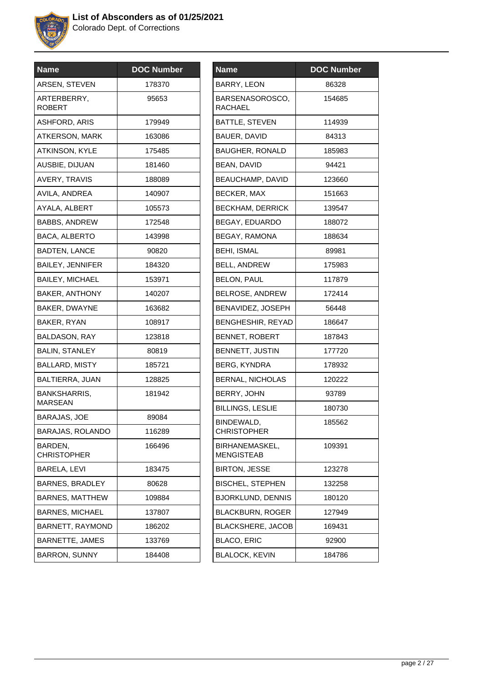

| <b>Name</b>                           | <b>DOC Number</b> |
|---------------------------------------|-------------------|
| ARSEN, STEVEN                         | 178370            |
| ARTERBERRY,<br>ROBERT                 | 95653             |
| <b>ASHFORD, ARIS</b>                  | 179949            |
| <b>ATKERSON, MARK</b>                 | 163086            |
| ATKINSON, KYLE                        | 175485            |
| AUSBIE, DIJUAN                        | 181460            |
| <b>AVERY, TRAVIS</b>                  | 188089            |
| AVILA, ANDREA                         | 140907            |
| AYALA, ALBERT                         | 105573            |
| <b>BABBS, ANDREW</b>                  | 172548            |
| <b>BACA, ALBERTO</b>                  | 143998            |
| <b>BADTEN, LANCE</b>                  | 90820             |
| <b>BAILEY, JENNIFER</b>               | 184320            |
| <b>BAILEY, MICHAEL</b>                | 153971            |
| <b>BAKER, ANTHONY</b>                 | 140207            |
| BAKER, DWAYNE                         | 163682            |
| BAKER, RYAN                           | 108917            |
| <b>BALDASON, RAY</b>                  | 123818            |
| <b>BALIN, STANLEY</b>                 | 80819             |
| <b>BALLARD, MISTY</b>                 | 185721            |
| BALTIERRA, JUAN                       | 128825            |
| <b>BANKSHARRIS,</b><br><b>MARSEAN</b> | 181942            |
| <b>BARAJAS, JOE</b>                   | 89084             |
| BARAJAS, ROLANDO                      | 116289            |
| BARDEN.<br><b>CHRISTOPHER</b>         | 166496            |
| BARELA, LEVI                          | 183475            |
| <b>BARNES, BRADLEY</b>                | 80628             |
| <b>BARNES, MATTHEW</b>                | 109884            |
| <b>BARNES, MICHAEL</b>                | 137807            |
| BARNETT, RAYMOND                      | 186202            |
| <b>BARNETTE, JAMES</b>                | 133769            |
| <b>BARRON, SUNNY</b>                  | 184408            |

| <b>Name</b>                         | <b>DOC Number</b> |
|-------------------------------------|-------------------|
| BARRY, LEON                         | 86328             |
| BARSENASOROSCO.<br><b>RACHAEL</b>   | 154685            |
| <b>BATTLE, STEVEN</b>               | 114939            |
| BAUER, DAVID                        | 84313             |
| <b>BAUGHER, RONALD</b>              | 185983            |
| <b>BEAN, DAVID</b>                  | 94421             |
| BEAUCHAMP, DAVID                    | 123660            |
| <b>BECKER, MAX</b>                  | 151663            |
| <b>BECKHAM, DERRICK</b>             | 139547            |
| BEGAY, EDUARDO                      | 188072            |
| <b>BEGAY, RAMONA</b>                | 188634            |
| <b>BEHI, ISMAL</b>                  | 89981             |
| <b>BELL, ANDREW</b>                 | 175983            |
| <b>BELON, PAUL</b>                  | 117879            |
| BELROSE, ANDREW                     | 172414            |
| BENAVIDEZ, JOSEPH                   | 56448             |
| <b>BENGHESHIR, REYAD</b>            | 186647            |
| BENNET, ROBERT                      | 187843            |
| BENNETT, JUSTIN                     | 177720            |
| <b>BERG, KYNDRA</b>                 | 178932            |
| <b>BERNAL, NICHOLAS</b>             | 120222            |
| BERRY, JOHN                         | 93789             |
| BILLINGS, LESLIE                    | 180730            |
| BINDEWALD,<br><b>CHRISTOPHER</b>    | 185562            |
| BIRHANEMASKEL,<br><b>MENGISTEAB</b> | 109391            |
| <b>BIRTON, JESSE</b>                | 123278            |
| <b>BISCHEL, STEPHEN</b>             | 132258            |
| <b>BJORKLUND, DENNIS</b>            | 180120            |
| <b>BLACKBURN, ROGER</b>             | 127949            |
| <b>BLACKSHERE, JACOB</b>            | 169431            |
| <b>BLACO, ERIC</b>                  | 92900             |
| <b>BLALOCK, KEVIN</b>               | 184786            |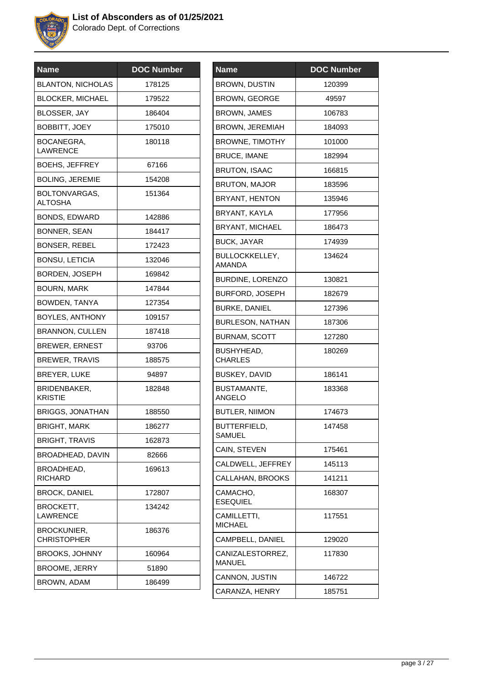

| <b>Name</b>                       | <b>DOC Number</b> |
|-----------------------------------|-------------------|
| <b>BLANTON, NICHOLAS</b>          | 178125            |
| <b>BLOCKER, MICHAEL</b>           | 179522            |
| BLOSSER, JAY                      | 186404            |
| <b>BOBBITT, JOEY</b>              | 175010            |
| BOCANEGRA,<br><b>LAWRENCE</b>     | 180118            |
| <b>BOEHS, JEFFREY</b>             | 67166             |
| <b>BOLING, JEREMIE</b>            | 154208            |
| BOLTONVARGAS,<br><b>ALTOSHA</b>   | 151364            |
| BONDS, EDWARD                     | 142886            |
| BONNER, SEAN                      | 184417            |
| <b>BONSER, REBEL</b>              | 172423            |
| <b>BONSU, LETICIA</b>             | 132046            |
| BORDEN, JOSEPH                    | 169842            |
| <b>BOURN, MARK</b>                | 147844            |
| BOWDEN, TANYA                     | 127354            |
| BOYLES, ANTHONY                   | 109157            |
| <b>BRANNON, CULLEN</b>            | 187418            |
| <b>BREWER, ERNEST</b>             | 93706             |
| <b>BREWER, TRAVIS</b>             | 188575            |
| <b>BREYER, LUKE</b>               | 94897             |
| BRIDENBAKER,<br><b>KRISTIE</b>    | 182848            |
| <b>BRIGGS, JONATHAN</b>           | 188550            |
| <b>BRIGHT, MARK</b>               | 186277            |
| <b>BRIGHT, TRAVIS</b>             | 162873            |
| BROADHEAD, DAVIN                  | 82666             |
| BROADHEAD,<br><b>RICHARD</b>      | 169613            |
| <b>BROCK, DANIEL</b>              | 172807            |
| BROCKETT,<br><b>LAWRENCE</b>      | 134242            |
| BROCKUNIER,<br><b>CHRISTOPHER</b> | 186376            |
| <b>BROOKS, JOHNNY</b>             | 160964            |
| <b>BROOME, JERRY</b>              | 51890             |
| BROWN, ADAM                       | 186499            |

| Name                            | <b>DOC Number</b> |
|---------------------------------|-------------------|
| <b>BROWN, DUSTIN</b>            | 120399            |
| <b>BROWN, GEORGE</b>            | 49597             |
| <b>BROWN, JAMES</b>             | 106783            |
| BROWN, JEREMIAH                 | 184093            |
| <b>BROWNE, TIMOTHY</b>          | 101000            |
| <b>BRUCE. IMANE</b>             | 182994            |
| <b>BRUTON, ISAAC</b>            | 166815            |
| <b>BRUTON, MAJOR</b>            | 183596            |
| BRYANT, HENTON                  | 135946            |
| BRYANT, KAYLA                   | 177956            |
| <b>BRYANT, MICHAEL</b>          | 186473            |
| <b>BUCK, JAYAR</b>              | 174939            |
| <b>BULLOCKKELLEY,</b><br>AMANDA | 134624            |
| <b>BURDINE, LORENZO</b>         | 130821            |
| <b>BURFORD, JOSEPH</b>          | 182679            |
| <b>BURKE, DANIEL</b>            | 127396            |
| <b>BURLESON, NATHAN</b>         | 187306            |
| <b>BURNAM, SCOTT</b>            | 127280            |
| BUSHYHEAD,<br><b>CHARLES</b>    | 180269            |
| <b>BUSKEY, DAVID</b>            | 186141            |
| BUSTAMANTE,<br><b>ANGELO</b>    | 183368            |
| <b>BUTLER, NIIMON</b>           | 174673            |
| BUTTERFIELD,<br>SAMUEL          | 147458            |
| CAIN, STEVEN                    | 175461            |
| CALDWELL, JEFFREY               | 145113            |
| CALLAHAN, BROOKS                | 141211            |
| CAMACHO,<br><b>ESEQUIEL</b>     | 168307            |
| CAMILLETTI,<br><b>MICHAEL</b>   | 117551            |
| CAMPBELL, DANIEL                | 129020            |
| CANIZALESTORREZ,<br>MANUEL      | 117830            |
| CANNON, JUSTIN                  | 146722            |
| CARANZA, HENRY                  | 185751            |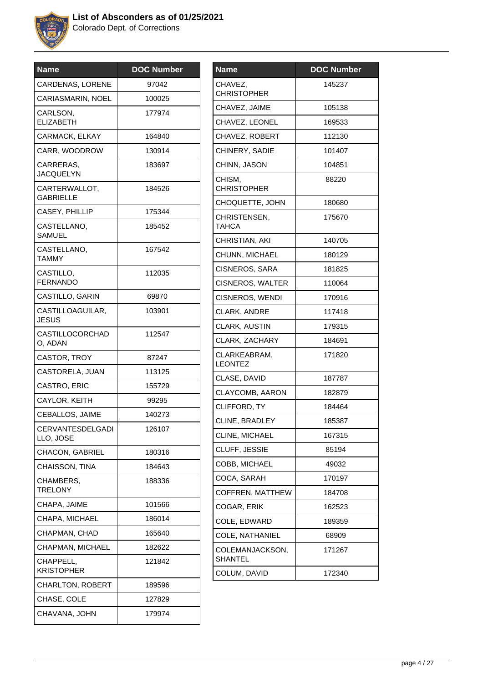

| <b>Name</b>                       | <b>DOC Number</b> |
|-----------------------------------|-------------------|
| <b>CARDENAS, LORENE</b>           | 97042             |
| CARIASMARIN, NOEL                 | 100025            |
| CARLSON,<br><b>ELIZABETH</b>      | 177974            |
| CARMACK, ELKAY                    | 164840            |
| CARR, WOODROW                     | 130914            |
| CARRERAS,<br><b>JACQUELYN</b>     | 183697            |
| CARTERWALLOT,<br>GABRIELLE        | 184526            |
| CASEY, PHILLIP                    | 175344            |
| CASTELLANO,<br><b>SAMUEL</b>      | 185452            |
| CASTELLANO,<br>TAMMY              | 167542            |
| CASTILLO,<br><b>FERNANDO</b>      | 112035            |
| CASTILLO, GARIN                   | 69870             |
| CASTILLOAGUILAR,<br><b>JESUS</b>  | 103901            |
| <b>CASTILLOCORCHAD</b><br>O, ADAN | 112547            |
| CASTOR, TROY                      | 87247             |
| CASTORELA, JUAN                   | 113125            |
| CASTRO, ERIC                      | 155729            |
| CAYLOR, KEITH                     | 99295             |
| CEBALLOS, JAIME                   | 140273            |
| CERVANTESDELGADI<br>LLO, JOSE     | 126107            |
| <b>CHACON, GABRIEL</b>            | 180316            |
| CHAISSON, TINA                    | 184643            |
| CHAMBERS,<br><b>TRELONY</b>       | 188336            |
| CHAPA, JAIME                      | 101566            |
| CHAPA, MICHAEL                    | 186014            |
| CHAPMAN, CHAD                     | 165640            |
| CHAPMAN, MICHAEL                  | 182622            |
| CHAPPELL,<br><b>KRISTOPHER</b>    | 121842            |
| <b>CHARLTON, ROBERT</b>           | 189596            |
| CHASE, COLE                       | 127829            |
| CHAVANA, JOHN                     | 179974            |

| <b>Name</b>                    | <b>DOC</b> Number |
|--------------------------------|-------------------|
| CHAVEZ,<br><b>CHRISTOPHER</b>  | 145237            |
| CHAVEZ, JAIME                  | 105138            |
| CHAVEZ, LEONEL                 | 169533            |
| CHAVEZ, ROBERT                 | 112130            |
| CHINERY, SADIE                 | 101407            |
| CHINN, JASON                   | 104851            |
| CHISM,<br><b>CHRISTOPHER</b>   | 88220             |
| CHOQUETTE, JOHN                | 180680            |
| CHRISTENSEN,<br><b>TAHCA</b>   | 175670            |
| CHRISTIAN, AKI                 | 140705            |
| <b>CHUNN, MICHAEL</b>          | 180129            |
| <b>CISNEROS, SARA</b>          | 181825            |
| CISNEROS, WALTER               | 110064            |
| CISNEROS, WENDI                | 170916            |
| <b>CLARK, ANDRE</b>            | 117418            |
| CLARK, AUSTIN                  | 179315            |
| CLARK, ZACHARY                 | 184691            |
| CLARKEABRAM,<br><b>LEONTEZ</b> | 171820            |
| CLASE, DAVID                   | 187787            |
| CLAYCOMB, AARON                | 182879            |
| CLIFFORD, TY                   | 184464            |
| CLINE, BRADLEY                 | 185387            |
| CLINE, MICHAEL                 | 167315            |
| CLUFF, JESSIE                  | 85194             |
| COBB, MICHAEL                  | 49032             |
| COCA, SARAH                    | 170197            |
| COFFREN, MATTHEW               | 184708            |
| COGAR, ERIK                    | 162523            |
| COLE, EDWARD                   | 189359            |
| <b>COLE, NATHANIEL</b>         | 68909             |
| COLEMANJACKSON,<br>SHANTEL     | 171267            |
| COLUM, DAVID                   | 172340            |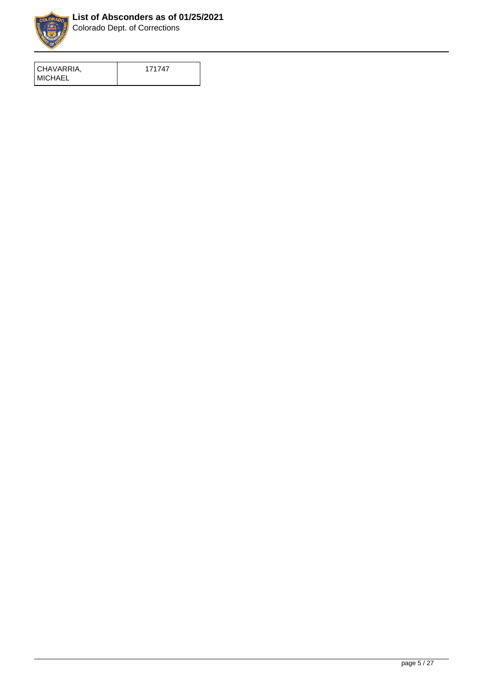

| CHAVARRIA,      | 171747 |
|-----------------|--------|
| <b>IMICHAEL</b> |        |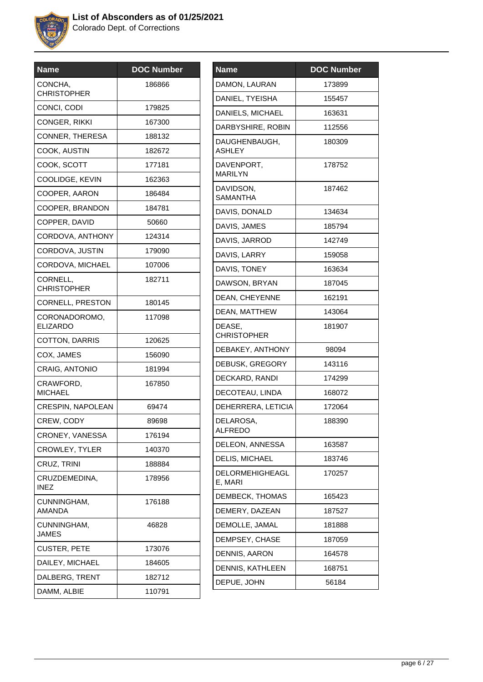

| Name                           | <b>DOC Number</b> |
|--------------------------------|-------------------|
| CONCHA,<br><b>CHRISTOPHER</b>  | 186866            |
| CONCI, CODI                    | 179825            |
| CONGER, RIKKI                  | 167300            |
| CONNER, THERESA                | 188132            |
| COOK, AUSTIN                   | 182672            |
| COOK, SCOTT                    | 177181            |
| COOLIDGE, KEVIN                | 162363            |
| COOPER, AARON                  | 186484            |
| COOPER, BRANDON                | 184781            |
| COPPER, DAVID                  | 50660             |
| CORDOVA, ANTHONY               | 124314            |
| CORDOVA, JUSTIN                | 179090            |
| CORDOVA, MICHAEL               | 107006            |
| CORNELL,<br><b>CHRISTOPHER</b> | 182711            |
| CORNELL, PRESTON               | 180145            |
| CORONADOROMO,<br>ELIZARDO      | 117098            |
| COTTON, DARRIS                 | 120625            |
| COX, JAMES                     | 156090            |
| CRAIG, ANTONIO                 | 181994            |
| CRAWFORD,<br><b>MICHAEL</b>    | 167850            |
| <b>CRESPIN, NAPOLEAN</b>       | 69474             |
| CREW, CODY                     | 89698             |
| CRONEY, VANESSA                | 176194            |
| <b>CROWLEY, TYLER</b>          | 140370            |
| CRUZ, TRINI                    | 188884            |
| CRUZDEMEDINA,<br><b>INEZ</b>   | 178956            |
| CUNNINGHAM,<br>AMANDA          | 176188            |
| CUNNINGHAM,<br><b>JAMES</b>    | 46828             |
| <b>CUSTER, PETE</b>            | 173076            |
| DAILEY, MICHAEL                | 184605            |
| DALBERG, TRENT                 | 182712            |
| DAMM, ALBIE                    | 110791            |
|                                |                   |

| <b>Name</b>                       | <b>DOC Number</b> |
|-----------------------------------|-------------------|
| DAMON, LAURAN                     | 173899            |
| DANIEL, TYEISHA                   | 155457            |
| DANIELS, MICHAEL                  | 163631            |
| DARBYSHIRE, ROBIN                 | 112556            |
| DAUGHENBAUGH,<br><b>ASHLEY</b>    | 180309            |
| DAVENPORT,<br><b>MARILYN</b>      | 178752            |
| DAVIDSON,<br>SAMANTHA             | 187462            |
| DAVIS, DONALD                     | 134634            |
| DAVIS, JAMES                      | 185794            |
| DAVIS, JARROD                     | 142749            |
| DAVIS, LARRY                      | 159058            |
| DAVIS, TONEY                      | 163634            |
| DAWSON, BRYAN                     | 187045            |
| DEAN, CHEYENNE                    | 162191            |
| DEAN, MATTHEW                     | 143064            |
| DEASE,<br><b>CHRISTOPHER</b>      | 181907            |
| DEBAKEY, ANTHONY                  | 98094             |
| DEBUSK, GREGORY                   | 143116            |
| DECKARD, RANDI                    | 174299            |
| DECOTEAU, LINDA                   | 168072            |
| DEHERRERA, LETICIA                | 172064            |
| DELAROSA,<br><b>ALFREDO</b>       | 188390            |
| DELEON, ANNESSA                   | 163587            |
| DELIS, MICHAEL                    | 183746            |
| <b>DELORMEHIGHEAGL</b><br>E, MARI | 170257            |
| DEMBECK, THOMAS                   | 165423            |
| DEMERY, DAZEAN                    | 187527            |
| DEMOLLE, JAMAL                    | 181888            |
| DEMPSEY, CHASE                    | 187059            |
| DENNIS, AARON                     | 164578            |
| DENNIS, KATHLEEN                  | 168751            |
| DEPUE, JOHN                       | 56184             |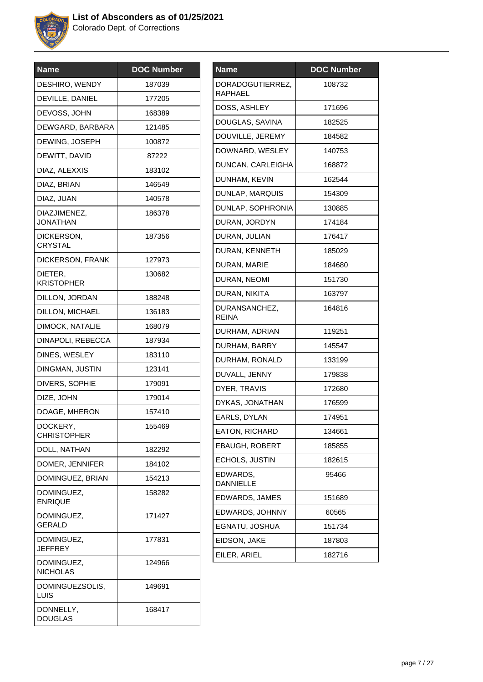

| <b>Name</b>                     | <b>DOC Number</b> |
|---------------------------------|-------------------|
| DESHIRO, WENDY                  | 187039            |
| DEVILLE, DANIEL                 | 177205            |
| DEVOSS, JOHN                    | 168389            |
| DEWGARD, BARBARA                | 121485            |
| DEWING, JOSEPH                  | 100872            |
| DEWITT, DAVID                   | 87222             |
| DIAZ, ALEXXIS                   | 183102            |
| DIAZ, BRIAN                     | 146549            |
| DIAZ, JUAN                      | 140578            |
| DIAZJIMENEZ,<br><b>JONATHAN</b> | 186378            |
| DICKERSON,<br><b>CRYSTAL</b>    | 187356            |
| DICKERSON, FRANK                | 127973            |
| DIETER,<br><b>KRISTOPHER</b>    | 130682            |
| DILLON, JORDAN                  | 188248            |
| DILLON, MICHAEL                 | 136183            |
| DIMOCK, NATALIE                 | 168079            |
| DINAPOLI, REBECCA               | 187934            |
| DINES, WESLEY                   | 183110            |
| DINGMAN, JUSTIN                 | 123141            |
| DIVERS, SOPHIE                  | 179091            |
| DIZE, JOHN                      | 179014            |
| DOAGE, MHERON                   | 157410            |
| DOCKERY,<br><b>CHRISTOPHER</b>  | 155469            |
| DOLL, NATHAN                    | 182292            |
| DOMER, JENNIFER                 | 184102            |
| DOMINGUEZ, BRIAN                | 154213            |
| DOMINGUEZ,<br><b>ENRIQUE</b>    | 158282            |
| DOMINGUEZ,<br><b>GERALD</b>     | 171427            |
| DOMINGUEZ,<br>JEFFREY           | 177831            |
| DOMINGUEZ,<br><b>NICHOLAS</b>   | 124966            |
| DOMINGUEZSOLIS,<br>LUIS         | 149691            |
| DONNELLY,<br><b>DOUGLAS</b>     | 168417            |
|                                 |                   |

| <b>Name</b>                        | <b>DOC Number</b> |
|------------------------------------|-------------------|
| DORADOGUTIERREZ,<br><b>RAPHAEL</b> | 108732            |
| DOSS, ASHLEY                       | 171696            |
| DOUGLAS, SAVINA                    | 182525            |
| DOUVILLE, JEREMY                   | 184582            |
| DOWNARD, WESLEY                    | 140753            |
| DUNCAN, CARLEIGHA                  | 168872            |
| DUNHAM, KEVIN                      | 162544            |
| DUNLAP, MARQUIS                    | 154309            |
| DUNLAP, SOPHRONIA                  | 130885            |
| DURAN, JORDYN                      | 174184            |
| DURAN, JULIAN                      | 176417            |
| DURAN, KENNETH                     | 185029            |
| DURAN, MARIE                       | 184680            |
| DURAN, NEOMI                       | 151730            |
| DURAN, NIKITA                      | 163797            |
| DURANSANCHEZ,<br><b>REINA</b>      | 164816            |
| DURHAM, ADRIAN                     | 119251            |
| DURHAM, BARRY                      | 145547            |
| DURHAM, RONALD                     | 133199            |
| DUVALL, JENNY                      | 179838            |
| DYER, TRAVIS                       | 172680            |
| DYKAS, JONATHAN                    | 176599            |
| EARLS, DYLAN                       | 174951            |
| EATON, RICHARD                     | 134661            |
| <b>EBAUGH, ROBERT</b>              | 185855            |
| ECHOLS, JUSTIN                     | 182615            |
| EDWARDS,<br><b>DANNIELLE</b>       | 95466             |
| EDWARDS, JAMES                     | 151689            |
| EDWARDS, JOHNNY                    | 60565             |
| EGNATU, JOSHUA                     | 151734            |
| EIDSON, JAKE                       | 187803            |
| EILER, ARIEL                       | 182716            |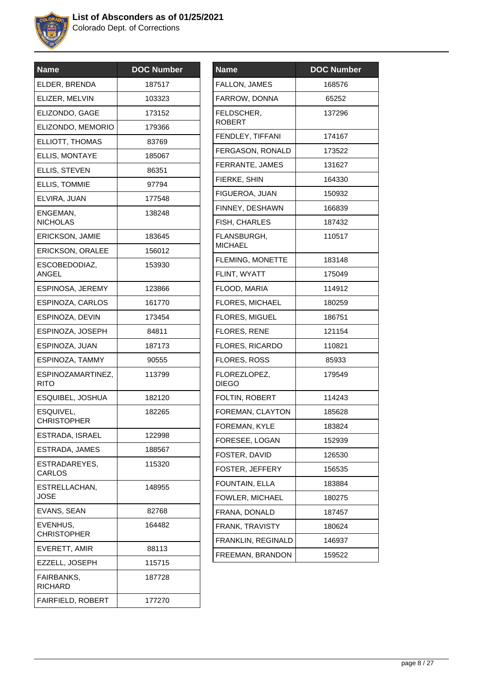

| <b>Name</b>                         | <b>DOC Number</b> |
|-------------------------------------|-------------------|
| ELDER, BRENDA                       | 187517            |
| ELIZER, MELVIN                      | 103323            |
| ELIZONDO, GAGE                      | 173152            |
| ELIZONDO, MEMORIO                   | 179366            |
| ELLIOTT, THOMAS                     | 83769             |
| <b>ELLIS, MONTAYE</b>               | 185067            |
| ELLIS, STEVEN                       | 86351             |
| <b>ELLIS, TOMMIE</b>                | 97794             |
| ELVIRA, JUAN                        | 177548            |
| ENGEMAN,<br><b>NICHOLAS</b>         | 138248            |
| ERICKSON, JAMIE                     | 183645            |
| <b>ERICKSON, ORALEE</b>             | 156012            |
| ESCOBEDODIAZ,<br>ANGEL              | 153930            |
| ESPINOSA, JEREMY                    | 123866            |
| ESPINOZA, CARLOS                    | 161770            |
| ESPINOZA, DEVIN                     | 173454            |
| ESPINOZA, JOSEPH                    | 84811             |
| ESPINOZA, JUAN                      | 187173            |
| ESPINOZA, TAMMY                     | 90555             |
| ESPINOZAMARTINEZ,<br><b>RITO</b>    | 113799            |
| ESQUIBEL, JOSHUA                    | 182120            |
| ESQUIVEL,<br><b>CHRISTOPHER</b>     | 182265            |
| ESTRADA, ISRAEL                     | 122998            |
| ESTRADA, JAMES                      | 188567            |
| ESTRADAREYES.<br>CARLOS             | 115320            |
| ESTRELLACHAN,<br><b>JOSE</b>        | 148955            |
| EVANS, SEAN                         | 82768             |
| EVENHUS,<br><b>CHRISTOPHER</b>      | 164482            |
| EVERETT, AMIR                       | 88113             |
| EZZELL, JOSEPH                      | 115715            |
| <b>FAIRBANKS,</b><br><b>RICHARD</b> | 187728            |
| <b>FAIRFIELD, ROBERT</b>            | 177270            |
|                                     |                   |

| Name                          | <b>DOC Number</b> |
|-------------------------------|-------------------|
| FALLON, JAMES                 | 168576            |
| FARROW, DONNA                 | 65252             |
| FELDSCHER,<br><b>ROBERT</b>   | 137296            |
| FENDLEY, TIFFANI              | 174167            |
| FERGASON, RONALD              | 173522            |
| FERRANTE, JAMES               | 131627            |
| FIERKE, SHIN                  | 164330            |
| FIGUEROA, JUAN                | 150932            |
| FINNEY, DESHAWN               | 166839            |
| FISH, CHARLES                 | 187432            |
| FLANSBURGH,<br><b>MICHAEL</b> | 110517            |
| <b>FLEMING, MONETTE</b>       | 183148            |
| FLINT, WYATT                  | 175049            |
| FLOOD, MARIA                  | 114912            |
| <b>FLORES, MICHAEL</b>        | 180259            |
| <b>FLORES, MIGUEL</b>         | 186751            |
| <b>FLORES, RENE</b>           | 121154            |
| FLORES, RICARDO               | 110821            |
| <b>FLORES, ROSS</b>           | 85933             |
| FLOREZLOPEZ,<br><b>DIEGO</b>  | 179549            |
| FOLTIN, ROBERT                | 114243            |
| FOREMAN, CLAYTON              | 185628            |
| FOREMAN, KYLE                 | 183824            |
| FORESEE, LOGAN                | 152939            |
| FOSTER, DAVID                 | 126530            |
| FOSTER, JEFFERY               | 156535            |
| FOUNTAIN, ELLA                | 183884            |
| FOWLER, MICHAEL               | 180275            |
| FRANA, DONALD                 | 187457            |
| FRANK, TRAVISTY               | 180624            |
| FRANKLIN, REGINALD            | 146937            |
| FREEMAN, BRANDON              | 159522            |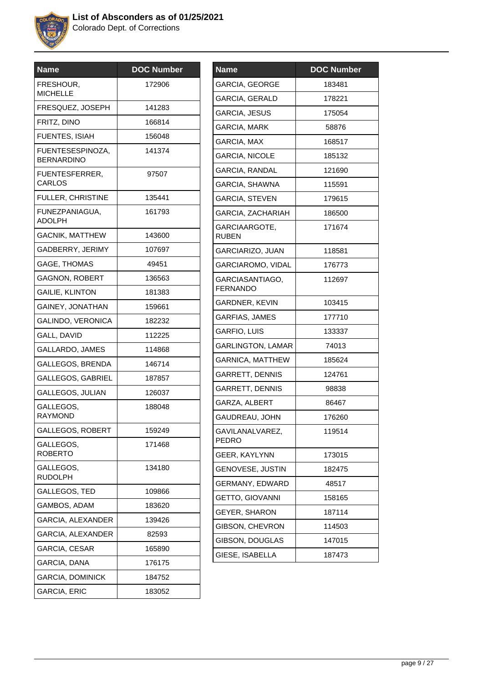

| <b>Name</b>                           | <b>DOC Number</b> |
|---------------------------------------|-------------------|
| FRESHOUR,<br><b>MICHELLE</b>          | 172906            |
| FRESQUEZ, JOSEPH                      | 141283            |
| FRITZ, DINO                           | 166814            |
| FUENTES, ISIAH                        | 156048            |
| FUENTESESPINOZA,<br><b>BERNARDINO</b> | 141374            |
| FUENTESFERRER,<br>CARLOS              | 97507             |
| <b>FULLER, CHRISTINE</b>              | 135441            |
| FUNEZPANIAGUA,<br><b>ADOLPH</b>       | 161793            |
| <b>GACNIK, MATTHEW</b>                | 143600            |
| GADBERRY, JERIMY                      | 107697            |
| GAGE, THOMAS                          | 49451             |
| <b>GAGNON, ROBERT</b>                 | 136563            |
| <b>GAILIE, KLINTON</b>                | 181383            |
| GAINEY, JONATHAN                      | 159661            |
| GALINDO, VERONICA                     | 182232            |
| GALL, DAVID                           | 112225            |
| GALLARDO, JAMES                       | 114868            |
| GALLEGOS, BRENDA                      | 146714            |
| <b>GALLEGOS, GABRIEL</b>              | 187857            |
| GALLEGOS, JULIAN                      | 126037            |
| GALLEGOS,<br><b>RAYMOND</b>           | 188048            |
| GALLEGOS, ROBERT                      | 159249            |
| GALLEGOS,<br><b>ROBERTO</b>           | 171468            |
| GALLEGOS,<br><b>RUDOLPH</b>           | 134180            |
| GALLEGOS, TED                         | 109866            |
| GAMBOS, ADAM                          | 183620            |
| GARCIA, ALEXANDER                     | 139426            |
| GARCIA, ALEXANDER                     | 82593             |
| GARCIA, CESAR                         | 165890            |
| GARCIA, DANA                          | 176175            |
| <b>GARCIA, DOMINICK</b>               | 184752            |
| <b>GARCIA, ERIC</b>                   | 183052            |
|                                       |                   |

| <b>Name</b>                        | <b>DOC Number</b> |
|------------------------------------|-------------------|
| GARCIA, GEORGE                     | 183481            |
| GARCIA, GERALD                     | 178221            |
| GARCIA, JESUS                      | 175054            |
| GARCIA, MARK                       | 58876             |
| GARCIA, MAX                        | 168517            |
| <b>GARCIA, NICOLE</b>              | 185132            |
| GARCIA, RANDAL                     | 121690            |
| GARCIA, SHAWNA                     | 115591            |
| <b>GARCIA, STEVEN</b>              | 179615            |
| GARCIA, ZACHARIAH                  | 186500            |
| GARCIAARGOTE,<br><b>RUBEN</b>      | 171674            |
| GARCIARIZO, JUAN                   | 118581            |
| GARCIAROMO, VIDAL                  | 176773            |
| GARCIASANTIAGO,<br><b>FERNANDO</b> | 112697            |
| GARDNER, KEVIN                     | 103415            |
| GARFIAS, JAMES                     | 177710            |
| GARFIO, LUIS                       | 133337            |
| <b>GARLINGTON, LAMAR</b>           | 74013             |
| <b>GARNICA, MATTHEW</b>            | 185624            |
| <b>GARRETT, DENNIS</b>             | 124761            |
| GARRETT, DENNIS                    | 98838             |
| GARZA, ALBERT                      | 86467             |
| GAUDREAU, JOHN                     | 176260            |
| GAVILANALVAREZ,<br>PEDRO           | 119514            |
| GEER, KAYLYNN                      | 173015            |
| GENOVESE, JUSTIN                   | 182475            |
| GERMANY, EDWARD                    | 48517             |
| <b>GETTO, GIOVANNI</b>             | 158165            |
| <b>GEYER, SHARON</b>               | 187114            |
| GIBSON, CHEVRON                    | 114503            |
| GIBSON, DOUGLAS                    | 147015            |
| GIESE, ISABELLA                    | 187473            |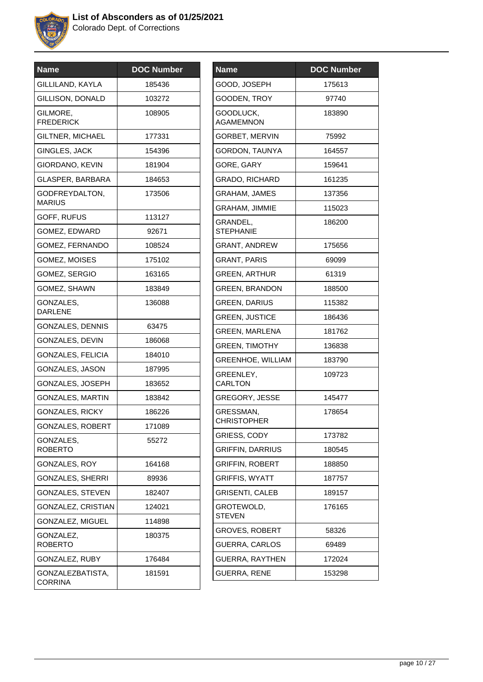

| <b>Name</b>                        | <b>DOC Number</b> |
|------------------------------------|-------------------|
| GILLILAND, KAYLA                   | 185436            |
| GILLISON, DONALD                   | 103272            |
| GILMORE,<br><b>FREDERICK</b>       | 108905            |
| GILTNER, MICHAEL                   | 177331            |
| <b>GINGLES, JACK</b>               | 154396            |
| GIORDANO, KEVIN                    | 181904            |
| GLASPER, BARBARA                   | 184653            |
| GODFREYDALTON,<br><b>MARIUS</b>    | 173506            |
| GOFF, RUFUS                        | 113127            |
| GOMEZ, EDWARD                      | 92671             |
| GOMEZ, FERNANDO                    | 108524            |
| GOMEZ, MOISES                      | 175102            |
| GOMEZ, SERGIO                      | 163165            |
| GOMEZ, SHAWN                       | 183849            |
| GONZALES,<br><b>DARLENE</b>        | 136088            |
| GONZALES, DENNIS                   | 63475             |
| GONZALES, DEVIN                    | 186068            |
| GONZALES, FELICIA                  | 184010            |
| GONZALES, JASON                    | 187995            |
| GONZALES, JOSEPH                   | 183652            |
| <b>GONZALES, MARTIN</b>            | 183842            |
| GONZALES, RICKY                    | 186226            |
| GONZALES, ROBERT                   | 171089            |
| GONZALES,<br><b>ROBERTO</b>        | 55272             |
| <b>GONZALES, ROY</b>               | 164168            |
| <b>GONZALES, SHERRI</b>            | 89936             |
| GONZALES, STEVEN                   | 182407            |
| GONZALEZ, CRISTIAN                 | 124021            |
| GONZALEZ, MIGUEL                   | 114898            |
| GONZALEZ,<br><b>ROBERTO</b>        | 180375            |
| GONZALEZ, RUBY                     | 176484            |
| GONZALEZBATISTA,<br><b>CORRINA</b> | 181591            |

| <b>Name</b>                     | <b>DOC Number</b> |
|---------------------------------|-------------------|
| GOOD, JOSEPH                    | 175613            |
| GOODEN, TROY                    | 97740             |
| GOODLUCK,<br><b>AGAMEMNON</b>   | 183890            |
| <b>GORBET, MERVIN</b>           | 75992             |
| GORDON, TAUNYA                  | 164557            |
| GORE, GARY                      | 159641            |
| GRADO, RICHARD                  | 161235            |
| <b>GRAHAM, JAMES</b>            | 137356            |
| <b>GRAHAM, JIMMIE</b>           | 115023            |
| GRANDEL,<br><b>STEPHANIE</b>    | 186200            |
| <b>GRANT, ANDREW</b>            | 175656            |
| <b>GRANT, PARIS</b>             | 69099             |
| <b>GREEN, ARTHUR</b>            | 61319             |
| <b>GREEN, BRANDON</b>           | 188500            |
| <b>GREEN, DARIUS</b>            | 115382            |
| <b>GREEN, JUSTICE</b>           | 186436            |
| <b>GREEN, MARLENA</b>           | 181762            |
| <b>GREEN, TIMOTHY</b>           | 136838            |
| <b>GREENHOE, WILLIAM</b>        | 183790            |
| GREENLEY,<br><b>CARLTON</b>     | 109723            |
| <b>GREGORY, JESSE</b>           | 145477            |
| GRESSMAN,<br><b>CHRISTOPHER</b> | 178654            |
| GRIESS, CODY                    | 173782            |
| <b>GRIFFIN, DARRIUS</b>         | 180545            |
| <b>GRIFFIN, ROBERT</b>          | 188850            |
| <b>GRIFFIS, WYATT</b>           | 187757            |
| <b>GRISENTI, CALEB</b>          | 189157            |
| GROTEWOLD,<br><b>STEVEN</b>     | 176165            |
| <b>GROVES, ROBERT</b>           | 58326             |
| GUERRA, CARLOS                  | 69489             |
| <b>GUERRA, RAYTHEN</b>          | 172024            |
| <b>GUERRA, RENE</b>             | 153298            |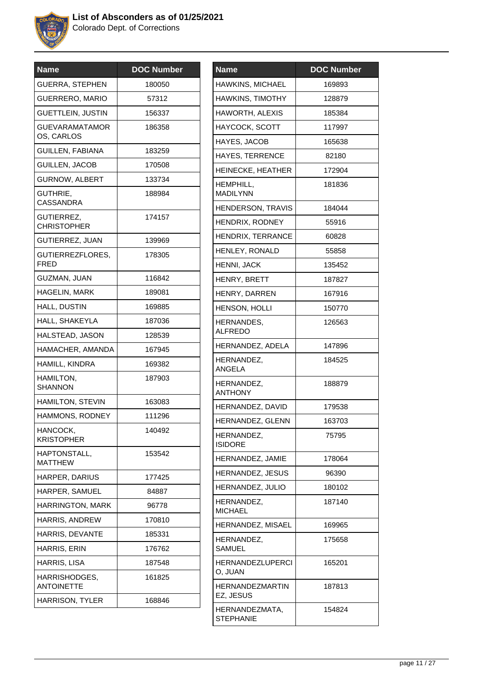

| <b>Name</b>                        | <b>DOC Number</b> |
|------------------------------------|-------------------|
| <b>GUERRA, STEPHEN</b>             | 180050            |
| <b>GUERRERO, MARIO</b>             | 57312             |
| <b>GUETTLEIN, JUSTIN</b>           | 156337            |
| GUEVARAMATAMOR<br>OS, CARLOS       | 186358            |
| GUILLEN, FABIANA                   | 183259            |
| <b>GUILLEN, JACOB</b>              | 170508            |
| <b>GURNOW, ALBERT</b>              | 133734            |
| GUTHRIE,<br><b>CASSANDRA</b>       | 188984            |
| GUTIERREZ,<br><b>CHRISTOPHER</b>   | 174157            |
| <b>GUTIERREZ, JUAN</b>             | 139969            |
| GUTIERREZFLORES,<br><b>FRED</b>    | 178305            |
| GUZMAN, JUAN                       | 116842            |
| <b>HAGELIN, MARK</b>               | 189081            |
| HALL, DUSTIN                       | 169885            |
| HALL, SHAKEYLA                     | 187036            |
| HALSTEAD, JASON                    | 128539            |
| HAMACHER, AMANDA                   | 167945            |
| HAMILL, KINDRA                     | 169382            |
| HAMILTON,<br>SHANNON               | 187903            |
| <b>HAMILTON, STEVIN</b>            | 163083            |
| HAMMONS, RODNEY                    | 111296            |
| HANCOCK,<br><b>KRISTOPHER</b>      | 140492            |
| HAPTONSTALL,<br><b>MATTHEW</b>     | 153542            |
| HARPER, DARIUS                     | 177425            |
| HARPER, SAMUEL                     | 84887             |
| HARRINGTON, MARK                   | 96778             |
| HARRIS, ANDREW                     | 170810            |
| HARRIS, DEVANTE                    | 185331            |
| HARRIS, ERIN                       | 176762            |
| HARRIS, LISA                       | 187548            |
| HARRISHODGES,<br><b>ANTOINETTE</b> | 161825            |
| <b>HARRISON, TYLER</b>             | 168846            |
|                                    |                   |

| <b>Name</b>                        | <b>DOC Number</b> |
|------------------------------------|-------------------|
| HAWKINS, MICHAEL                   | 169893            |
| HAWKINS, TIMOTHY                   | 128879            |
| <b>HAWORTH, ALEXIS</b>             | 185384            |
| <b>HAYCOCK, SCOTT</b>              | 117997            |
| HAYES, JACOB                       | 165638            |
| <b>HAYES, TERRENCE</b>             | 82180             |
| HEINECKE, HEATHER                  | 172904            |
| HEMPHILL,<br><b>MADILYNN</b>       | 181836            |
| HENDERSON, TRAVIS                  | 184044            |
| HENDRIX, RODNEY                    | 55916             |
| HENDRIX, TERRANCE                  | 60828             |
| HENLEY, RONALD                     | 55858             |
| HENNI, JACK                        | 135452            |
| HENRY, BRETT                       | 187827            |
| HENRY, DARREN                      | 167916            |
| <b>HENSON, HOLLI</b>               | 150770            |
| HERNANDES,<br><b>ALFREDO</b>       | 126563            |
| HERNANDEZ, ADELA                   | 147896            |
| HERNANDEZ,<br><b>ANGELA</b>        | 184525            |
| HERNANDEZ,<br><b>ANTHONY</b>       | 188879            |
| HERNANDEZ, DAVID                   | 179538            |
| HERNANDEZ, GLENN                   | 163703            |
| HERNANDEZ,<br><b>ISIDORE</b>       | 75795             |
| HERNANDEZ, JAMIE                   | 178064            |
| HERNANDEZ, JESUS                   | 96390             |
| HERNANDEZ, JULIO                   | 180102            |
| HERNANDEZ,<br><b>MICHAEL</b>       | 187140            |
| HERNANDEZ, MISAEL                  | 169965            |
| HERNANDEZ,<br>SAMUEL               | 175658            |
| HERNANDEZLUPERCI<br>O, JUAN        | 165201            |
| HERNANDEZMARTIN<br>EZ, JESUS       | 187813            |
| HERNANDEZMATA,<br><b>STEPHANIE</b> | 154824            |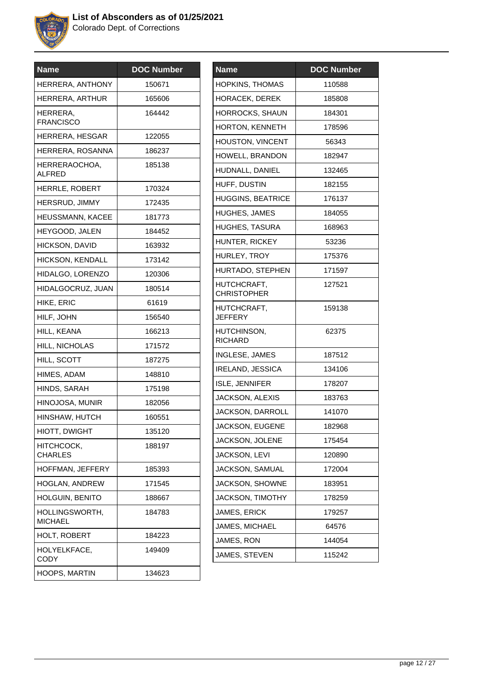

| <b>Name</b>                      | <b>DOC Number</b> |
|----------------------------------|-------------------|
| HERRERA, ANTHONY                 | 150671            |
| <b>HERRERA, ARTHUR</b>           | 165606            |
| HERRERA,<br><b>FRANCISCO</b>     | 164442            |
| HERRERA, HESGAR                  | 122055            |
| HERRERA, ROSANNA                 | 186237            |
| HERRERAOCHOA,<br>ALFRED          | 185138            |
| HERRLE, ROBERT                   | 170324            |
| HERSRUD, JIMMY                   | 172435            |
| HEUSSMANN, KACEE                 | 181773            |
| HEYGOOD, JALEN                   | 184452            |
| <b>HICKSON, DAVID</b>            | 163932            |
| <b>HICKSON, KENDALL</b>          | 173142            |
| HIDALGO, LORENZO                 | 120306            |
| HIDALGOCRUZ, JUAN                | 180514            |
| HIKE, ERIC                       | 61619             |
| HILF, JOHN                       | 156540            |
| HILL, KEANA                      | 166213            |
| HILL, NICHOLAS                   | 171572            |
| HILL, SCOTT                      | 187275            |
| HIMES, ADAM                      | 148810            |
| HINDS, SARAH                     | 175198            |
| HINOJOSA, MUNIR                  | 182056            |
| HINSHAW, HUTCH                   | 160551            |
| HIOTT, DWIGHT                    | 135120            |
| HITCHCOCK,<br><b>CHARLES</b>     | 188197            |
| HOFFMAN, JEFFERY                 | 185393            |
| <b>HOGLAN, ANDREW</b>            | 171545            |
| <b>HOLGUIN, BENITO</b>           | 188667            |
| HOLLINGSWORTH.<br><b>MICHAEL</b> | 184783            |
| HOLT, ROBERT                     | 184223            |
| HOLYELKFACE,<br><b>CODY</b>      | 149409            |
| HOOPS, MARTIN                    | 134623            |

| Name                              | <b>DOC Number</b> |
|-----------------------------------|-------------------|
| <b>HOPKINS, THOMAS</b>            | 110588            |
| <b>HORACEK, DEREK</b>             | 185808            |
| HORROCKS, SHAUN                   | 184301            |
| HORTON, KENNETH                   | 178596            |
| HOUSTON, VINCENT                  | 56343             |
| HOWELL, BRANDON                   | 182947            |
| HUDNALL, DANIEL                   | 132465            |
| HUFF, DUSTIN                      | 182155            |
| <b>HUGGINS, BEATRICE</b>          | 176137            |
| <b>HUGHES, JAMES</b>              | 184055            |
| <b>HUGHES, TASURA</b>             | 168963            |
| HUNTER, RICKEY                    | 53236             |
| HURLEY, TROY                      | 175376            |
| HURTADO, STEPHEN                  | 171597            |
| HUTCHCRAFT,<br><b>CHRISTOPHER</b> | 127521            |
| HUTCHCRAFT,<br><b>JEFFERY</b>     | 159138            |
| HUTCHINSON,<br>RICHARD            | 62375             |
| INGLESE, JAMES                    | 187512            |
| <b>IRELAND, JESSICA</b>           | 134106            |
| ISLE, JENNIFER                    | 178207            |
| <b>JACKSON, ALEXIS</b>            | 183763            |
| JACKSON, DARROLL                  | 141070            |
| JACKSON, EUGENE                   | 182968            |
| <b>JACKSON, JOLENE</b>            | 175454            |
| JACKSON, LEVI                     | 120890            |
| JACKSON, SAMUAL                   | 172004            |
| JACKSON, SHOWNE                   | 183951            |
| JACKSON, TIMOTHY                  | 178259            |
| JAMES, ERICK                      | 179257            |
| JAMES, MICHAEL                    | 64576             |
| JAMES, RON                        | 144054            |
| JAMES, STEVEN                     | 115242            |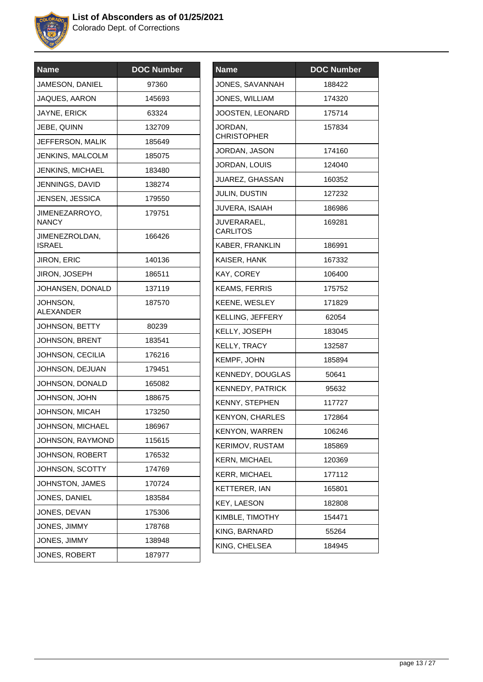

| <b>Name</b>                     | <b>DOC Number</b> |
|---------------------------------|-------------------|
| JAMESON, DANIEL                 | 97360             |
| JAQUES, AARON                   | 145693            |
| JAYNE, ERICK                    | 63324             |
| JEBE, QUINN                     | 132709            |
| JEFFERSON, MALIK                | 185649            |
| <b>JENKINS, MALCOLM</b>         | 185075            |
| <b>JENKINS, MICHAEL</b>         | 183480            |
| JENNINGS, DAVID                 | 138274            |
| JENSEN, JESSICA                 | 179550            |
| JIMENEZARROYO,<br><b>NANCY</b>  | 179751            |
| JIMENEZROLDAN,<br><b>ISRAEL</b> | 166426            |
| <b>JIRON, ERIC</b>              | 140136            |
| <b>JIRON, JOSEPH</b>            | 186511            |
| JOHANSEN, DONALD                | 137119            |
| JOHNSON,<br><b>ALEXANDER</b>    | 187570            |
| JOHNSON, BETTY                  | 80239             |
| JOHNSON, BRENT                  | 183541            |
| JOHNSON, CECILIA                | 176216            |
| JOHNSON, DEJUAN                 | 179451            |
| JOHNSON, DONALD                 | 165082            |
| JOHNSON, JOHN                   | 188675            |
| JOHNSON, MICAH                  | 173250            |
| JOHNSON, MICHAEL                | 186967            |
| JOHNSON, RAYMOND                | 115615            |
| JOHNSON, ROBERT                 | 176532            |
| JOHNSON, SCOTTY                 | 174769            |
| JOHNSTON, JAMES                 | 170724            |
| JONES, DANIEL                   | 183584            |
| JONES, DEVAN                    | 175306            |
| JONES, JIMMY                    | 178768            |
| JONES, JIMMY                    | 138948            |
| JONES, ROBERT                   | 187977            |

| <b>Name</b>                    | <b>DOC Number</b> |
|--------------------------------|-------------------|
| JONES, SAVANNAH                | 188422            |
| JONES, WILLIAM                 | 174320            |
| JOOSTEN, LEONARD               | 175714            |
| JORDAN,<br><b>CHRISTOPHER</b>  | 157834            |
| JORDAN, JASON                  | 174160            |
| JORDAN, LOUIS                  | 124040            |
| JUAREZ, GHASSAN                | 160352            |
| JULIN, DUSTIN                  | 127232            |
| JUVERA, ISAIAH                 | 186986            |
| JUVERARAEL,<br><b>CARLITOS</b> | 169281            |
| KABER, FRANKLIN                | 186991            |
| KAISER, HANK                   | 167332            |
| KAY, COREY                     | 106400            |
| <b>KEAMS, FERRIS</b>           | 175752            |
| KEENE, WESLEY                  | 171829            |
| KELLING, JEFFERY               | 62054             |
| KELLY, JOSEPH                  | 183045            |
| KELLY, TRACY                   | 132587            |
| KEMPF, JOHN                    | 185894            |
| KENNEDY, DOUGLAS               | 50641             |
| KENNEDY, PATRICK               | 95632             |
| KENNY, STEPHEN                 | 117727            |
| <b>KENYON, CHARLES</b>         | 172864            |
| KENYON, WARREN                 | 106246            |
| KERIMOV, RUSTAM                | 185869            |
| <b>KERN, MICHAEL</b>           | 120369            |
| <b>KERR, MICHAEL</b>           | 177112            |
| <b>KETTERER, IAN</b>           | 165801            |
| <b>KEY, LAESON</b>             | 182808            |
| KIMBLE, TIMOTHY                | 154471            |
| KING, BARNARD                  | 55264             |
| KING, CHELSEA                  | 184945            |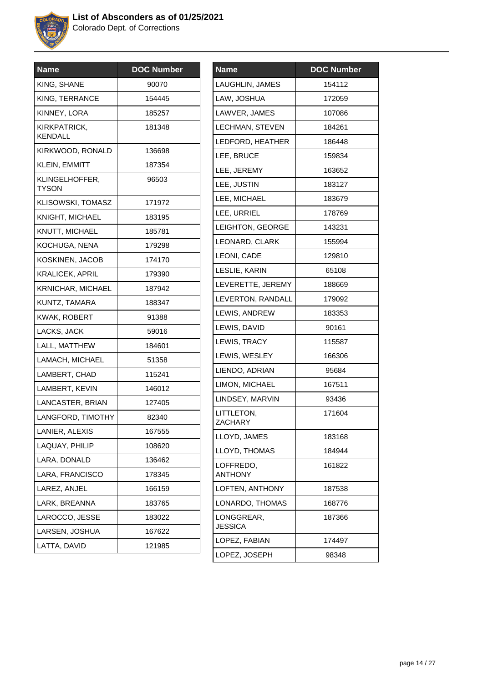

| <b>Name</b>             | <b>DOC Number</b> |
|-------------------------|-------------------|
| KING, SHANE             | 90070             |
| KING, TERRANCE          | 154445            |
| KINNEY, LORA            | 185257            |
| KIRKPATRICK,<br>KENDALL | 181348            |
| KIRKWOOD, RONALD        | 136698            |
| KLEIN, EMMITT           | 187354            |
| KLINGELHOFFER,<br>TYSON | 96503             |
| KLISOWSKI, TOMASZ       | 171972            |
| <b>KNIGHT, MICHAEL</b>  | 183195            |
| KNUTT, MICHAEL          | 185781            |
| KOCHUGA, NENA           | 179298            |
| KOSKINEN, JACOB         | 174170            |
| <b>KRALICEK, APRIL</b>  | 179390            |
| KRNICHAR, MICHAEL       | 187942            |
| KUNTZ, TAMARA           | 188347            |
| KWAK, ROBERT            | 91388             |
| LACKS, JACK             | 59016             |
| LALL, MATTHEW           | 184601            |
| LAMACH, MICHAEL         | 51358             |
| LAMBERT, CHAD           | 115241            |
| LAMBERT, KEVIN          | 146012            |
| LANCASTER, BRIAN        | 127405            |
| LANGFORD, TIMOTHY       | 82340             |
| LANIER, ALEXIS          | 167555            |
| LAQUAY, PHILIP          | 108620            |
| LARA, DONALD            | 136462            |
| LARA, FRANCISCO         | 178345            |
| LAREZ, ANJEL            | 166159            |
| LARK, BREANNA           | 183765            |
| LAROCCO, JESSE          | 183022            |
| LARSEN, JOSHUA          | 167622            |
| LATTA, DAVID            | 121985            |
|                         |                   |

| <b>Name</b>           | <b>DOC Number</b> |
|-----------------------|-------------------|
| LAUGHLIN, JAMES       | 154112            |
| LAW, JOSHUA           | 172059            |
| LAWVER, JAMES         | 107086            |
| LECHMAN, STEVEN       | 184261            |
| LEDFORD, HEATHER      | 186448            |
| LEE, BRUCE            | 159834            |
| LEE, JEREMY           | 163652            |
| LEE, JUSTIN           | 183127            |
| LEE, MICHAEL          | 183679            |
| LEE, URRIEL           | 178769            |
| LEIGHTON, GEORGE      | 143231            |
| LEONARD, CLARK        | 155994            |
| LEONI, CADE           | 129810            |
| LESLIE, KARIN         | 65108             |
| LEVERETTE, JEREMY     | 188669            |
| LEVERTON, RANDALL     | 179092            |
| LEWIS, ANDREW         | 183353            |
| LEWIS, DAVID          | 90161             |
| LEWIS, TRACY          | 115587            |
| LEWIS, WESLEY         | 166306            |
| LIENDO, ADRIAN        | 95684             |
| LIMON, MICHAEL        | 167511            |
| LINDSEY, MARVIN       | 93436             |
| LITTLETON,<br>ZACHARY | 171604            |
| LLOYD, JAMES          | 183168            |
| LLOYD, THOMAS         | 184944            |
| LOFFREDO.<br>ANTHONY  | 161822            |
| LOFTEN, ANTHONY       | 187538            |
| LONARDO, THOMAS       | 168776            |
| LONGGREAR.<br>JESSICA | 187366            |
| LOPEZ, FABIAN         | 174497            |
| LOPEZ, JOSEPH         | 98348             |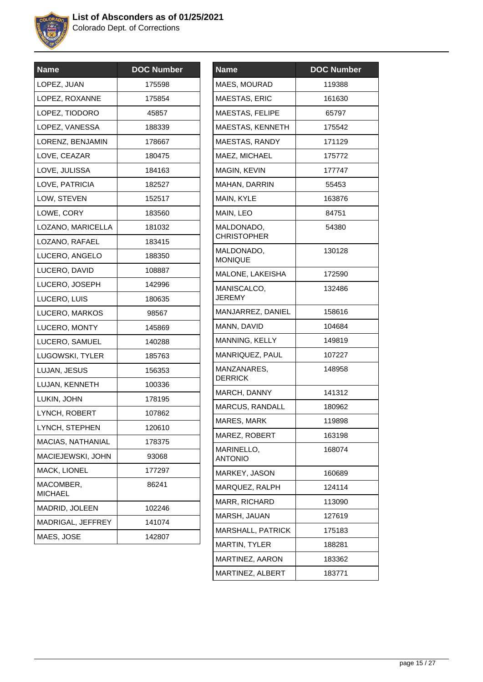

| <b>Name</b>              | <b>DOC Number</b> |
|--------------------------|-------------------|
| LOPEZ, JUAN              | 175598            |
| LOPEZ, ROXANNE           | 175854            |
| LOPEZ, TIODORO           | 45857             |
| LOPEZ, VANESSA           | 188339            |
| LORENZ, BENJAMIN         | 178667            |
| LOVE, CEAZAR             | 180475            |
| LOVE, JULISSA            | 184163            |
| LOVE, PATRICIA           | 182527            |
| LOW, STEVEN              | 152517            |
| LOWE, CORY               | 183560            |
| LOZANO, MARICELLA        | 181032            |
| LOZANO, RAFAEL           | 183415            |
| LUCERO, ANGELO           | 188350            |
| LUCERO, DAVID            | 108887            |
| LUCERO, JOSEPH           | 142996            |
| LUCERO, LUIS             | 180635            |
| LUCERO, MARKOS           | 98567             |
| LUCERO, MONTY            | 145869            |
| LUCERO, SAMUEL           | 140288            |
| LUGOWSKI, TYLER          | 185763            |
| LUJAN, JESUS             | 156353            |
| LUJAN, KENNETH           | 100336            |
| LUKIN, JOHN              | 178195            |
| LYNCH, ROBERT            | 107862            |
| LYNCH, STEPHEN           | 120610            |
| <b>MACIAS, NATHANIAL</b> | 178375            |
| MACIEJEWSKI, JOHN        | 93068             |
| MACK, LIONEL             | 177297            |
| MACOMBER,<br>MICHAEL     | 86241             |
| MADRID, JOLEEN           | 102246            |
| MADRIGAL, JEFFREY        | 141074            |
| MAES, JOSE               | 142807            |
|                          |                   |

| <b>Name</b>                      | <b>DOC Number</b> |
|----------------------------------|-------------------|
| MAES, MOURAD                     | 119388            |
| MAESTAS, ERIC                    | 161630            |
| MAESTAS, FELIPE                  | 65797             |
| MAESTAS, KENNETH                 | 175542            |
| MAESTAS, RANDY                   | 171129            |
| MAEZ, MICHAEL                    | 175772            |
| MAGIN, KEVIN                     | 177747            |
| MAHAN, DARRIN                    | 55453             |
| MAIN, KYLE                       | 163876            |
| MAIN, LEO                        | 84751             |
| MALDONADO,<br><b>CHRISTOPHER</b> | 54380             |
| MALDONADO,<br><b>MONIQUE</b>     | 130128            |
| MALONE, LAKEISHA                 | 172590            |
| MANISCALCO,<br>JEREMY            | 132486            |
| MANJARREZ, DANIEL                | 158616            |
| MANN, DAVID                      | 104684            |
| MANNING, KELLY                   | 149819            |
| MANRIQUEZ, PAUL                  | 107227            |
| MANZANARES,<br><b>DERRICK</b>    | 148958            |
| MARCH, DANNY                     | 141312            |
| <b>MARCUS, RANDALL</b>           | 180962            |
| MARES, MARK                      | 119898            |
| MAREZ, ROBERT                    | 163198            |
| MARINELLO,<br><b>ANTONIO</b>     | 168074            |
| MARKEY, JASON                    | 160689            |
| MARQUEZ, RALPH                   | 124114            |
| MARR, RICHARD                    | 113090            |
| MARSH, JAUAN                     | 127619            |
| <b>MARSHALL, PATRICK</b>         | 175183            |
| <b>MARTIN, TYLER</b>             | 188281            |
| MARTINEZ, AARON                  | 183362            |
| MARTINEZ, ALBERT                 | 183771            |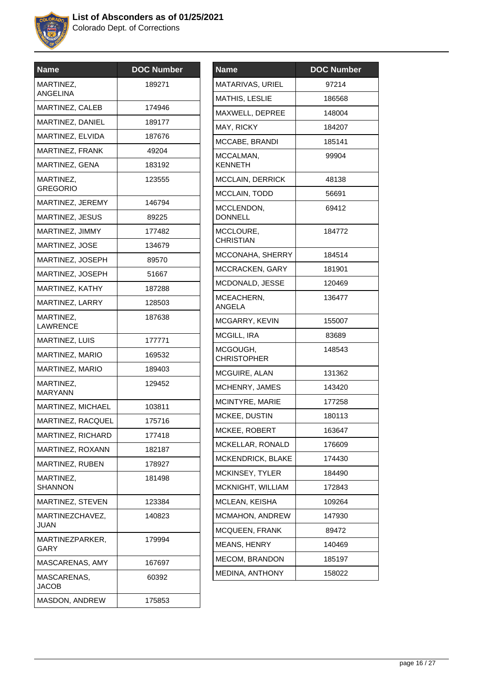

| <b>Name</b>                  | <b>DOC Number</b> |
|------------------------------|-------------------|
| MARTINEZ,<br><b>ANGELINA</b> | 189271            |
| MARTINEZ, CALEB              | 174946            |
| MARTINEZ, DANIEL             | 189177            |
| MARTINEZ, ELVIDA             | 187676            |
| MARTINEZ, FRANK              | 49204             |
| MARTINEZ, GENA               | 183192            |
| MARTINEZ.<br>GREGORIO        | 123555            |
| MARTINEZ, JEREMY             | 146794            |
| MARTINEZ, JESUS              | 89225             |
| MARTINEZ, JIMMY              | 177482            |
| MARTINEZ, JOSE               | 134679            |
| MARTINEZ, JOSEPH             | 89570             |
| MARTINEZ, JOSEPH             | 51667             |
| MARTINEZ, KATHY              | 187288            |
| MARTINEZ, LARRY              | 128503            |
| MARTINEZ,<br>LAWRENCE        | 187638            |
| MARTINEZ, LUIS               | 177771            |
| MARTINEZ, MARIO              | 169532            |
| MARTINEZ, MARIO              | 189403            |
| MARTINEZ,<br><b>MARYANN</b>  | 129452            |
| MARTINEZ, MICHAEL            | 103811            |
| MARTINEZ, RACQUEL            | 175716            |
| MARTINEZ, RICHARD            | 177418            |
| MARTINEZ, ROXANN             | 182187            |
| MARTINEZ, RUBEN              | 178927            |
| MARTINEZ,<br><b>SHANNON</b>  | 181498            |
| MARTINEZ, STEVEN             | 123384            |
| MARTINEZCHAVEZ,<br>JUAN      | 140823            |
| MARTINEZPARKER,<br>GARY      | 179994            |
| MASCARENAS, AMY              | 167697            |
| MASCARENAS,<br><b>JACOB</b>  | 60392             |
| MASDON, ANDREW               | 175853            |

| <b>Name</b>                    | <b>DOC Number</b> |
|--------------------------------|-------------------|
| MATARIVAS, URIEL               | 97214             |
| <b>MATHIS, LESLIE</b>          | 186568            |
| MAXWELL, DEPREE                | 148004            |
| MAY, RICKY                     | 184207            |
| MCCABE, BRANDI                 | 185141            |
| MCCALMAN,<br><b>KENNETH</b>    | 99904             |
| <b>MCCLAIN, DERRICK</b>        | 48138             |
| MCCLAIN, TODD                  | 56691             |
| MCCLENDON,<br><b>DONNELL</b>   | 69412             |
| MCCLOURE,<br><b>CHRISTIAN</b>  | 184772            |
| MCCONAHA, SHERRY               | 184514            |
| MCCRACKEN, GARY                | 181901            |
| MCDONALD, JESSE                | 120469            |
| MCEACHERN,<br><b>ANGELA</b>    | 136477            |
| MCGARRY, KEVIN                 | 155007            |
| MCGILL, IRA                    | 83689             |
| MCGOUGH,<br><b>CHRISTOPHER</b> | 148543            |
| MCGUIRE, ALAN                  | 131362            |
| MCHENRY, JAMES                 | 143420            |
| MCINTYRE, MARIE                | 177258            |
| MCKEE, DUSTIN                  | 180113            |
| MCKEE, ROBERT                  | 163647            |
| MCKELLAR, RONALD               | 176609            |
| MCKENDRICK, BLAKE              | 174430            |
| MCKINSEY, TYLER                | 184490            |
| MCKNIGHT, WILLIAM              | 172843            |
| MCLEAN, KEISHA                 | 109264            |
| <b>MCMAHON, ANDREW</b>         | 147930            |
| <b>MCQUEEN, FRANK</b>          | 89472             |
| MEANS, HENRY                   | 140469            |
| <b>MECOM, BRANDON</b>          | 185197            |
| MEDINA, ANTHONY                | 158022            |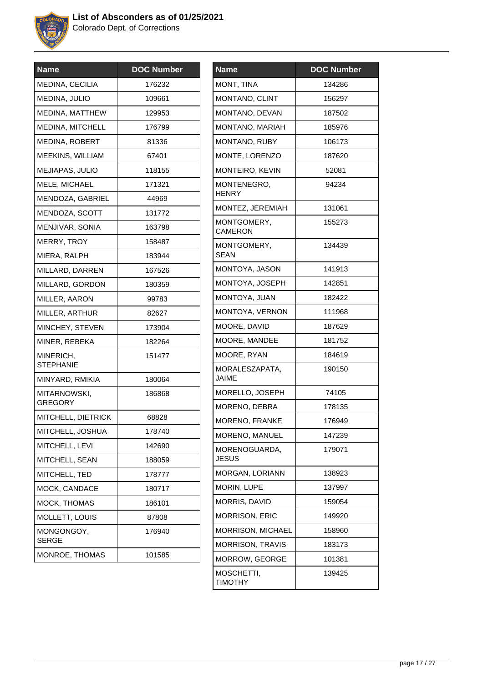

| <b>Name</b>                    | <b>DOC Number</b> |
|--------------------------------|-------------------|
| <b>MEDINA, CECILIA</b>         | 176232            |
| MEDINA, JULIO                  | 109661            |
| MEDINA, MATTHEW                | 129953            |
| MEDINA, MITCHELL               | 176799            |
| <b>MEDINA, ROBERT</b>          | 81336             |
| MEEKINS, WILLIAM               | 67401             |
| <b>MEJIAPAS, JULIO</b>         | 118155            |
| MELE, MICHAEL                  | 171321            |
| MENDOZA, GABRIEL               | 44969             |
| MENDOZA, SCOTT                 | 131772            |
| MENJIVAR, SONIA                | 163798            |
| MERRY, TROY                    | 158487            |
| MIERA, RALPH                   | 183944            |
| MILLARD, DARREN                | 167526            |
| MILLARD, GORDON                | 180359            |
| MILLER, AARON                  | 99783             |
| MILLER, ARTHUR                 | 82627             |
| MINCHEY, STEVEN                | 173904            |
| MINER, REBEKA                  | 182264            |
| MINERICH,<br><b>STEPHANIE</b>  | 151477            |
| MINYARD, RMIKIA                | 180064            |
| MITARNOWSKI,<br><b>GREGORY</b> | 186868            |
| MITCHELL, DIETRICK             | 68828             |
| MITCHELL, JOSHUA               | 178740            |
| MITCHELL, LEVI                 | 142690            |
| MITCHELL, SEAN                 | 188059            |
| MITCHELL, TED                  | 178777            |
| MOCK, CANDACE                  | 180717            |
| MOCK, THOMAS                   | 186101            |
| MOLLETT, LOUIS                 | 87808             |
| MONGONGOY,<br><b>SERGE</b>     | 176940            |
| MONROE, THOMAS                 | 101585            |

| <b>Name</b>                    | <b>DOC Number</b> |
|--------------------------------|-------------------|
| MONT, TINA                     | 134286            |
| MONTANO, CLINT                 | 156297            |
| MONTANO, DEVAN                 | 187502            |
| MONTANO, MARIAH                | 185976            |
| MONTANO, RUBY                  | 106173            |
| MONTE, LORENZO                 | 187620            |
| MONTEIRO, KEVIN                | 52081             |
| MONTENEGRO,<br><b>HENRY</b>    | 94234             |
| MONTEZ, JEREMIAH               | 131061            |
| MONTGOMERY,<br><b>CAMERON</b>  | 155273            |
| MONTGOMERY,<br><b>SEAN</b>     | 134439            |
| MONTOYA, JASON                 | 141913            |
| MONTOYA, JOSEPH                | 142851            |
| MONTOYA, JUAN                  | 182422            |
| MONTOYA, VERNON                | 111968            |
| MOORE, DAVID                   | 187629            |
| MOORE, MANDEE                  | 181752            |
| MOORE, RYAN                    | 184619            |
| MORALESZAPATA,<br><b>JAIME</b> | 190150            |
| MORELLO, JOSEPH                | 74105             |
| MORENO, DEBRA                  | 178135            |
| MORENO, FRANKE                 | 176949            |
| MORENO, MANUEL                 | 147239            |
| MORENOGUARDA,<br>JESUS         | 179071            |
| MORGAN, LORIANN                | 138923            |
| MORIN, LUPE                    | 137997            |
| MORRIS, DAVID                  | 159054            |
| <b>MORRISON, ERIC</b>          | 149920            |
| MORRISON, MICHAEL              | 158960            |
| <b>MORRISON, TRAVIS</b>        | 183173            |
| MORROW, GEORGE                 | 101381            |
| MOSCHETTI,<br><b>TIMOTHY</b>   | 139425            |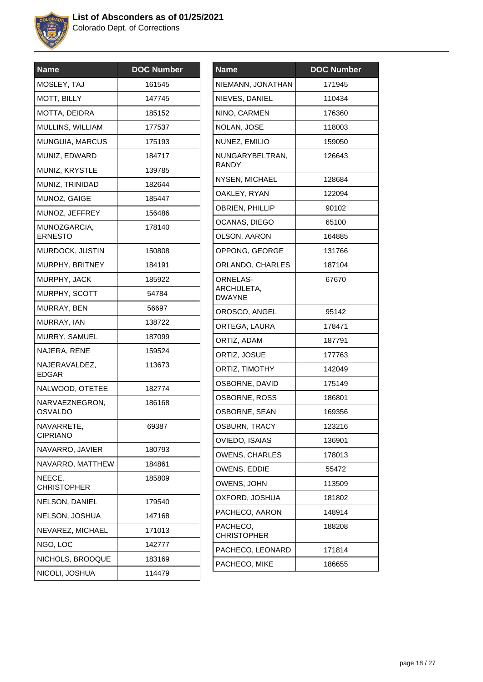

| <b>Name</b>                      | <b>DOC Number</b> |
|----------------------------------|-------------------|
| MOSLEY, TAJ                      | 161545            |
| MOTT, BILLY                      | 147745            |
| MOTTA, DEIDRA                    | 185152            |
| MULLINS, WILLIAM                 | 177537            |
| MUNGUIA, MARCUS                  | 175193            |
| MUNIZ, EDWARD                    | 184717            |
| MUNIZ, KRYSTLE                   | 139785            |
| MUNIZ, TRINIDAD                  | 182644            |
| MUNOZ, GAIGE                     | 185447            |
| MUNOZ, JEFFREY                   | 156486            |
| MUNOZGARCIA,<br><b>ERNESTO</b>   | 178140            |
| MURDOCK, JUSTIN                  | 150808            |
| MURPHY, BRITNEY                  | 184191            |
| MURPHY, JACK                     | 185922            |
| MURPHY, SCOTT                    | 54784             |
| MURRAY, BEN                      | 56697             |
| MURRAY, IAN                      | 138722            |
| MURRY, SAMUEL                    | 187099            |
| NAJERA, RENE                     | 159524            |
| NAJERAVALDEZ,<br><b>EDGAR</b>    | 113673            |
| NALWOOD, OTETEE                  | 182774            |
| NARVAEZNEGRON,<br><b>OSVALDO</b> | 186168            |
| NAVARRETE<br><b>CIPRIANO</b>     | 69387             |
| NAVARRO, JAVIER                  | 180793            |
| NAVARRO, MATTHEW                 | 184861            |
| NEECE,<br><b>CHRISTOPHER</b>     | 185809            |
| NELSON, DANIEL                   | 179540            |
| NELSON, JOSHUA                   | 147168            |
| NEVAREZ, MICHAEL                 | 171013            |
| NGO, LOC                         | 142777            |
| NICHOLS, BROOQUE                 | 183169            |
| NICOLI, JOSHUA                   | 114479            |

| <b>Name</b>                             | <b>DOC Number</b> |
|-----------------------------------------|-------------------|
| NIEMANN, JONATHAN                       | 171945            |
| NIEVES, DANIEL                          | 110434            |
| NINO, CARMEN                            | 176360            |
| NOLAN, JOSE                             | 118003            |
| NUNEZ, EMILIO                           | 159050            |
| NUNGARYBELTRAN,<br><b>RANDY</b>         | 126643            |
| NYSEN, MICHAEL                          | 128684            |
| OAKLEY, RYAN                            | 122094            |
| OBRIEN, PHILLIP                         | 90102             |
| OCANAS, DIEGO                           | 65100             |
| OLSON, AARON                            | 164885            |
| OPPONG, GEORGE                          | 131766            |
| ORLANDO, CHARLES                        | 187104            |
| <b>ORNELAS-</b><br>ARCHULETA,<br>DWAYNE | 67670             |
| OROSCO, ANGEL                           | 95142             |
| ORTEGA, LAURA                           | 178471            |
| ORTIZ, ADAM                             | 187791            |
| ORTIZ, JOSUE                            | 177763            |
| ORTIZ, TIMOTHY                          | 142049            |
| OSBORNE, DAVID                          | 175149            |
| OSBORNE, ROSS                           | 186801            |
| OSBORNE, SEAN                           | 169356            |
| OSBURN, TRACY                           | 123216            |
| OVIEDO, ISAIAS                          | 136901            |
| <b>OWENS, CHARLES</b>                   | 178013            |
| OWENS, EDDIE                            | 55472             |
| OWENS, JOHN                             | 113509            |
| OXFORD, JOSHUA                          | 181802            |
| PACHECO, AARON                          | 148914            |
| PACHECO,<br><b>CHRISTOPHER</b>          | 188208            |
| PACHECO, LEONARD                        | 171814            |
| PACHECO, MIKE                           | 186655            |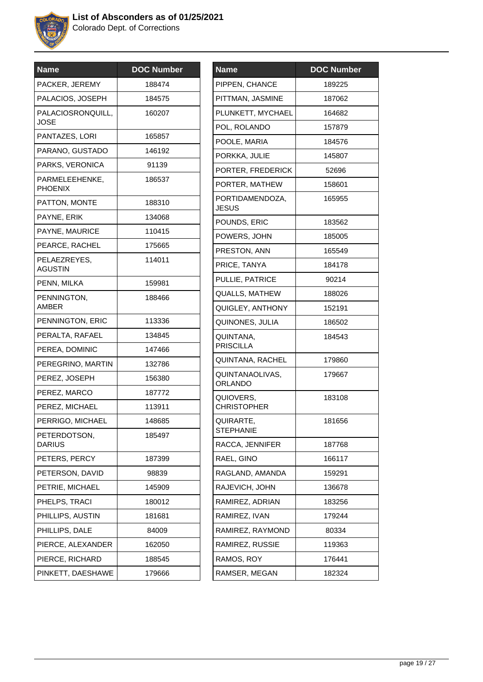

| <b>Name</b>                      | <b>DOC Number</b> |
|----------------------------------|-------------------|
| PACKER, JEREMY                   | 188474            |
| PALACIOS, JOSEPH                 | 184575            |
| PALACIOSRONQUILL,<br><b>JOSE</b> | 160207            |
| PANTAZES, LORI                   | 165857            |
| PARANO, GUSTADO                  | 146192            |
| PARKS, VERONICA                  | 91139             |
| PARMELEEHENKE,<br><b>PHOENIX</b> | 186537            |
| PATTON, MONTE                    | 188310            |
| PAYNE, ERIK                      | 134068            |
| PAYNE, MAURICE                   | 110415            |
| PEARCE, RACHEL                   | 175665            |
| PELAEZREYES,<br><b>AGUSTIN</b>   | 114011            |
| PENN, MILKA                      | 159981            |
| PENNINGTON,<br>AMBER             | 188466            |
| PENNINGTON, ERIC                 | 113336            |
| PERALTA, RAFAEL                  | 134845            |
| PEREA, DOMINIC                   | 147466            |
| PEREGRINO, MARTIN                | 132786            |
| PEREZ, JOSEPH                    | 156380            |
| PEREZ, MARCO                     | 187772            |
| PEREZ, MICHAEL                   | 113911            |
| PERRIGO, MICHAEL                 | 148685            |
| PETERDOTSON,<br><b>DARIUS</b>    | 185497            |
| PETERS, PERCY                    | 187399            |
| PETERSON, DAVID                  | 98839             |
| PETRIE, MICHAEL                  | 145909            |
| PHELPS, TRACI                    | 180012            |
| PHILLIPS, AUSTIN                 | 181681            |
| PHILLIPS, DALE                   | 84009             |
| PIERCE, ALEXANDER                | 162050            |
| PIERCE, RICHARD                  | 188545            |
| PINKETT, DAESHAWE                | 179666            |

| <b>Name</b>                       | <b>DOC</b> Number |
|-----------------------------------|-------------------|
| PIPPEN, CHANCE                    | 189225            |
| PITTMAN, JASMINE                  | 187062            |
| PLUNKETT, MYCHAEL                 | 164682            |
| POL, ROLANDO                      | 157879            |
| POOLE, MARIA                      | 184576            |
| PORKKA, JULIE                     | 145807            |
| PORTER, FREDERICK                 | 52696             |
| PORTER, MATHEW                    | 158601            |
| PORTIDAMENDOZA,<br><b>JESUS</b>   | 165955            |
| POUNDS, ERIC                      | 183562            |
| POWERS, JOHN                      | 185005            |
| PRESTON, ANN                      | 165549            |
| PRICE, TANYA                      | 184178            |
| PULLIE, PATRICE                   | 90214             |
| QUALLS, MATHEW                    | 188026            |
| QUIGLEY, ANTHONY                  | 152191            |
| QUINONES, JULIA                   | 186502            |
| QUINTANA,<br><b>PRISCILLA</b>     | 184543            |
| QUINTANA, RACHEL                  | 179860            |
| QUINTANAOLIVAS,<br><b>ORLANDO</b> | 179667            |
| QUIOVERS,<br><b>CHRISTOPHER</b>   | 183108            |
| QUIRARTE,<br><b>STEPHANIE</b>     | 181656            |
| RACCA, JENNIFER                   | 187768            |
| RAEL, GINO                        | 166117            |
| RAGLAND, AMANDA                   | 159291            |
| RAJEVICH, JOHN                    | 136678            |
| RAMIREZ, ADRIAN                   | 183256            |
| RAMIREZ, IVAN                     | 179244            |
| RAMIREZ, RAYMOND                  | 80334             |
| RAMIREZ, RUSSIE                   | 119363            |
| RAMOS, ROY                        | 176441            |
| RAMSER, MEGAN                     | 182324            |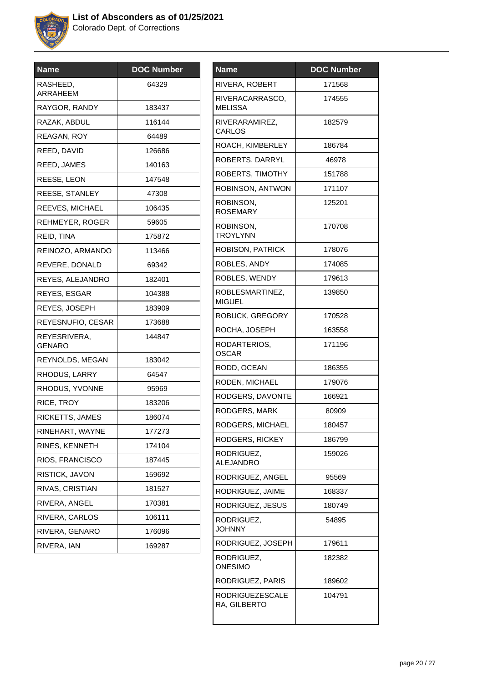

| <b>Name</b>            | <b>DOC Number</b> |
|------------------------|-------------------|
| RASHEED,<br>ARRAHEEM   | 64329             |
| RAYGOR, RANDY          | 183437            |
| RAZAK, ABDUL           | 116144            |
| REAGAN, ROY            | 64489             |
| REED, DAVID            | 126686            |
| REED, JAMES            | 140163            |
| REESE, LEON            | 147548            |
| REESE, STANLEY         | 47308             |
| REEVES, MICHAEL        | 106435            |
| REHMEYER, ROGER        | 59605             |
| REID, TINA             | 175872            |
| REINOZO, ARMANDO       | 113466            |
| REVERE, DONALD         | 69342             |
| REYES, ALEJANDRO       | 182401            |
| REYES, ESGAR           | 104388            |
| REYES, JOSEPH          | 183909            |
| REYESNUFIO, CESAR      | 173688            |
| REYESRIVERA,<br>GENARO | 144847            |
| REYNOLDS, MEGAN        | 183042            |
| RHODUS, LARRY          | 64547             |
| RHODUS, YVONNE         | 95969             |
| RICE, TROY             | 183206            |
| RICKETTS, JAMES        | 186074            |
| RINEHART, WAYNE        | 177273            |
| RINES, KENNETH         | 174104            |
| RIOS, FRANCISCO        | 187445            |
| RISTICK, JAVON         | 159692            |
| RIVAS, CRISTIAN        | 181527            |
| RIVERA, ANGEL          | 170381            |
| RIVERA, CARLOS         | 106111            |
| RIVERA, GENARO         | 176096            |
| RIVERA, IAN            | 169287            |
|                        |                   |

| Name                                   | <b>DOC Number</b> |
|----------------------------------------|-------------------|
| RIVERA, ROBERT                         | 171568            |
| RIVERACARRASCO,<br><b>MELISSA</b>      | 174555            |
| RIVERARAMIREZ,<br>CARLOS               | 182579            |
| ROACH, KIMBERLEY                       | 186784            |
| ROBERTS, DARRYL                        | 46978             |
| ROBERTS, TIMOTHY                       | 151788            |
| ROBINSON, ANTWON                       | 171107            |
| ROBINSON,<br><b>ROSEMARY</b>           | 125201            |
| ROBINSON,<br><b>TROYLYNN</b>           | 170708            |
| ROBISON, PATRICK                       | 178076            |
| ROBLES, ANDY                           | 174085            |
| ROBLES, WENDY                          | 179613            |
| ROBLESMARTINEZ,<br><b>MIGUEL</b>       | 139850            |
| ROBUCK, GREGORY                        | 170528            |
| ROCHA, JOSEPH                          | 163558            |
| RODARTERIOS,<br>OSCAR                  | 171196            |
| RODD, OCEAN                            | 186355            |
| RODEN, MICHAEL                         | 179076            |
| RODGERS, DAVONTE                       | 166921            |
| RODGERS, MARK                          | 80909             |
| RODGERS, MICHAEL                       | 180457            |
| RODGERS, RICKEY                        | 186799            |
| RODRIGUEZ,<br><b>ALEJANDRO</b>         | 159026            |
| RODRIGUEZ, ANGEL                       | 95569             |
| RODRIGUEZ, JAIME                       | 168337            |
| RODRIGUEZ, JESUS                       | 180749            |
| RODRIGUEZ,<br>JOHNNY                   | 54895             |
| RODRIGUEZ, JOSEPH                      | 179611            |
| RODRIGUEZ,<br><b>ONESIMO</b>           | 182382            |
| RODRIGUEZ, PARIS                       | 189602            |
| <b>RODRIGUEZESCALE</b><br>RA, GILBERTO | 104791            |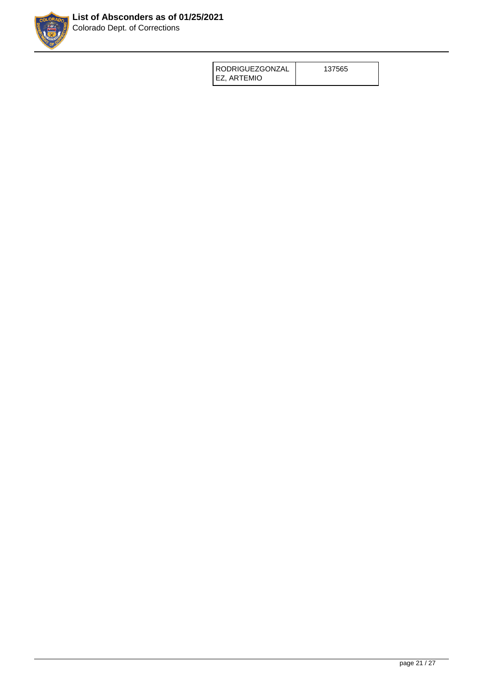

| <b>RODRIGUEZGONZAL</b> | 137565 |
|------------------------|--------|
| EZ. ARTEMIO            |        |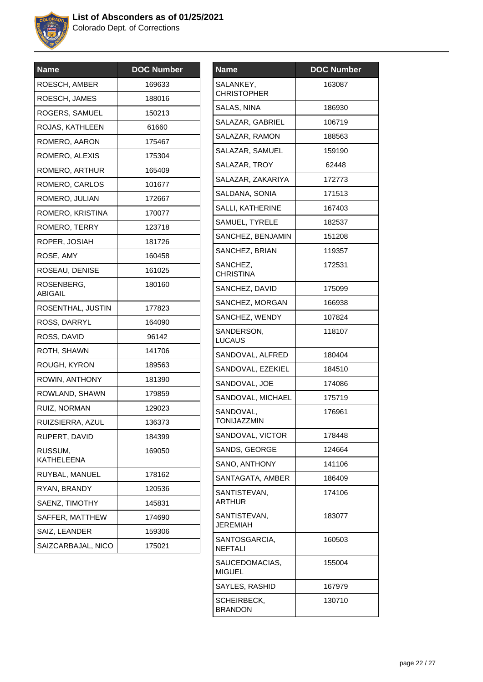

| 169633<br>188016 |
|------------------|
|                  |
|                  |
| 150213           |
| 61660            |
| 175467           |
| 175304           |
| 165409           |
| 101677           |
| 172667           |
| 170077           |
| 123718           |
| 181726           |
| 160458           |
| 161025           |
| 180160           |
| 177823           |
| 164090           |
| 96142            |
| 141706           |
| 189563           |
| 181390           |
| 179859           |
| 129023           |
| 136373           |
| 184399           |
| 169050           |
| 178162           |
| 120536           |
| 145831           |
| 174690           |
| 159306           |
| 175021           |
|                  |

| <b>Name</b>                     | <b>DOC</b> Number |
|---------------------------------|-------------------|
| SALANKEY,<br><b>CHRISTOPHER</b> | 163087            |
| SALAS, NINA                     | 186930            |
| SALAZAR, GABRIEL                | 106719            |
| SALAZAR, RAMON                  | 188563            |
| SALAZAR, SAMUEL                 | 159190            |
| SALAZAR, TROY                   | 62448             |
| SALAZAR, ZAKARIYA               | 172773            |
| SALDANA, SONIA                  | 171513            |
| SALLI, KATHERINE                | 167403            |
| SAMUEL, TYRELE                  | 182537            |
| SANCHEZ, BENJAMIN               | 151208            |
| SANCHEZ, BRIAN                  | 119357            |
| SANCHEZ,<br><b>CHRISTINA</b>    | 172531            |
| SANCHEZ, DAVID                  | 175099            |
| SANCHEZ, MORGAN                 | 166938            |
| SANCHEZ, WENDY                  | 107824            |
| SANDERSON,<br>LUCAUS            | 118107            |
| SANDOVAL, ALFRED                | 180404            |
| SANDOVAL, EZEKIEL               | 184510            |
| SANDOVAL, JOE                   | 174086            |
| SANDOVAL, MICHAEL               | 175719            |
| SANDOVAL,<br>TONIJAZZMIN        | 176961            |
| SANDOVAL, VICTOR                | 178448            |
| SANDS, GEORGE                   | 124664            |
| SANO, ANTHONY                   | 141106            |
| SANTAGATA, AMBER                | 186409            |
| SANTISTEVAN,<br><b>ARTHUR</b>   | 174106            |
| SANTISTEVAN,<br><b>JEREMIAH</b> | 183077            |
| SANTOSGARCIA,<br><b>NEFTALI</b> | 160503            |
| SAUCEDOMACIAS,<br><b>MIGUEL</b> | 155004            |
| SAYLES, RASHID                  | 167979            |
| SCHEIRBECK,<br><b>BRANDON</b>   | 130710            |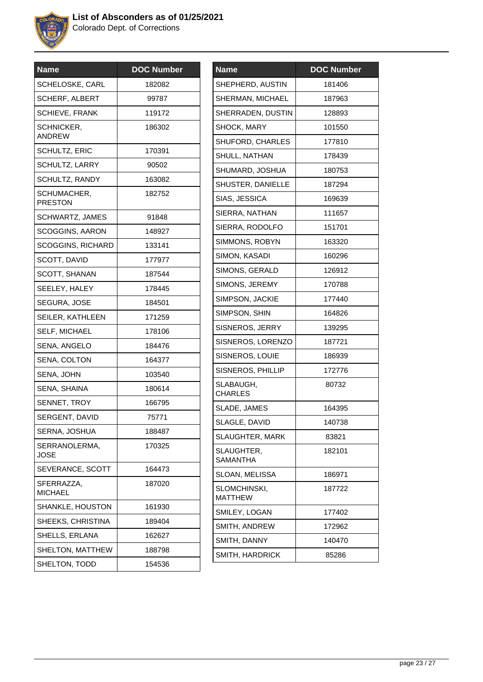

| <b>Name</b>                   | <b>DOC Number</b> |
|-------------------------------|-------------------|
| <b>SCHELOSKE, CARL</b>        | 182082            |
| <b>SCHERF, ALBERT</b>         | 99787             |
| <b>SCHIEVE, FRANK</b>         | 119172            |
| SCHNICKER,<br><b>ANDREW</b>   | 186302            |
| <b>SCHULTZ, ERIC</b>          | 170391            |
| SCHULTZ, LARRY                | 90502             |
| <b>SCHULTZ, RANDY</b>         | 163082            |
| SCHUMACHER,<br><b>PRESTON</b> | 182752            |
| SCHWARTZ, JAMES               | 91848             |
| <b>SCOGGINS, AARON</b>        | 148927            |
| <b>SCOGGINS, RICHARD</b>      | 133141            |
| SCOTT, DAVID                  | 177977            |
| SCOTT, SHANAN                 | 187544            |
| SEELEY, HALEY                 | 178445            |
| SEGURA, JOSE                  | 184501            |
| SEILER, KATHLEEN              | 171259            |
| <b>SELF, MICHAEL</b>          | 178106            |
| SENA, ANGELO                  | 184476            |
| SENA, COLTON                  | 164377            |
| SENA, JOHN                    | 103540            |
| SENA, SHAINA                  | 180614            |
| SENNET, TROY                  | 166795            |
| SERGENT, DAVID                | 75771             |
| SERNA, JOSHUA                 | 188487            |
| SERRANOLERMA,<br>JOSE         | 170325            |
| SEVERANCE, SCOTT              | 164473            |
| SFERRAZZA.<br><b>MICHAEL</b>  | 187020            |
| <b>SHANKLE, HOUSTON</b>       | 161930            |
| SHEEKS, CHRISTINA             | 189404            |
| SHELLS, ERLANA                | 162627            |
| SHELTON, MATTHEW              | 188798            |
| SHELTON, TODD                 | 154536            |
|                               |                   |

| Name                           | <b>DOC Number</b> |
|--------------------------------|-------------------|
| SHEPHERD, AUSTIN               | 181406            |
| <b>SHERMAN, MICHAEL</b>        | 187963            |
| SHERRADEN, DUSTIN              | 128893            |
| SHOCK, MARY                    | 101550            |
| <b>SHUFORD, CHARLES</b>        | 177810            |
| SHULL, NATHAN                  | 178439            |
| SHUMARD, JOSHUA                | 180753            |
| SHUSTER, DANIELLE              | 187294            |
| SIAS, JESSICA                  | 169639            |
| SIERRA, NATHAN                 | 111657            |
| SIERRA, RODOLFO                | 151701            |
| SIMMONS, ROBYN                 | 163320            |
| SIMON, KASADI                  | 160296            |
| SIMONS, GERALD                 | 126912            |
| SIMONS, JEREMY                 | 170788            |
| SIMPSON, JACKIE                | 177440            |
| SIMPSON, SHIN                  | 164826            |
| SISNEROS, JERRY                | 139295            |
| SISNEROS, LORENZO              | 187721            |
| SISNEROS, LOUIE                | 186939            |
| SISNEROS, PHILLIP              | 172776            |
| SLABAUGH,<br><b>CHARLES</b>    | 80732             |
| SLADE, JAMES                   | 164395            |
| SLAGLE, DAVID                  | 140738            |
| SLAUGHTER, MARK                | 83821             |
| SLAUGHTER,<br>SAMANTHA         | 182101            |
| SLOAN, MELISSA                 | 186971            |
| SLOMCHINSKI,<br><b>MATTHEW</b> | 187722            |
| SMILEY, LOGAN                  | 177402            |
| SMITH, ANDREW                  | 172962            |
| SMITH, DANNY                   | 140470            |
| SMITH, HARDRICK                | 85286             |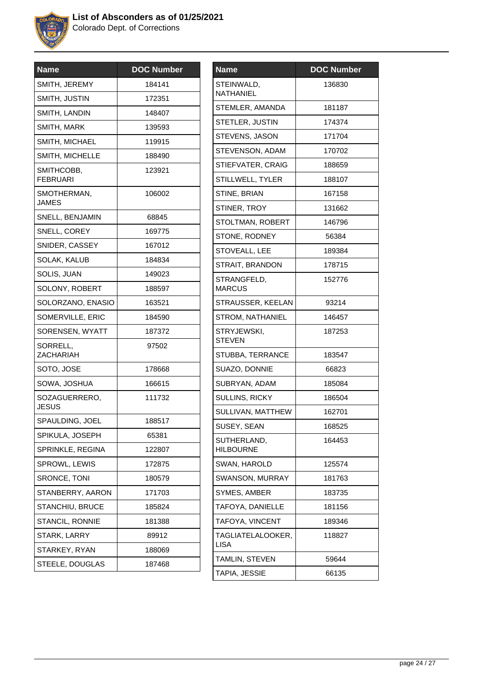

| <b>Name</b>                   | <b>DOC Number</b> |
|-------------------------------|-------------------|
| SMITH, JEREMY                 | 184141            |
| SMITH, JUSTIN                 | 172351            |
| SMITH, LANDIN                 | 148407            |
| SMITH, MARK                   | 139593            |
| SMITH, MICHAEL                | 119915            |
| SMITH, MICHELLE               | 188490            |
| SMITHCOBB,<br><b>FEBRUARI</b> | 123921            |
| SMOTHERMAN,<br><b>JAMES</b>   | 106002            |
| SNELL, BENJAMIN               | 68845             |
| SNELL, COREY                  | 169775            |
| SNIDER, CASSEY                | 167012            |
| <b>SOLAK, KALUB</b>           | 184834            |
| SOLIS, JUAN                   | 149023            |
| SOLONY, ROBERT                | 188597            |
| SOLORZANO, ENASIO             | 163521            |
| SOMERVILLE, ERIC              | 184590            |
| SORENSEN, WYATT               | 187372            |
| SORRELL,<br><b>ZACHARIAH</b>  | 97502             |
| SOTO, JOSE                    | 178668            |
| SOWA, JOSHUA                  | 166615            |
| SOZAGUERRERO,<br><b>JESUS</b> | 111732            |
| SPAULDING, JOEL               | 188517            |
| SPIKULA, JOSEPH               | 65381             |
| SPRINKLE, REGINA              | 122807            |
| SPROWL, LEWIS                 | 172875            |
| SRONCE, TONI                  | 180579            |
| STANBERRY, AARON              | 171703            |
| <b>STANCHIU, BRUCE</b>        | 185824            |
| <b>STANCIL, RONNIE</b>        | 181388            |
| STARK, LARRY                  | 89912             |
| STARKEY, RYAN                 | 188069            |
| STEELE, DOUGLAS               | 187468            |
|                               |                   |

| <b>Name</b>                      | <b>DOC Number</b> |
|----------------------------------|-------------------|
| STEINWALD,<br>NATHANIEL          | 136830            |
| STEMLER, AMANDA                  | 181187            |
| STETLER, JUSTIN                  | 174374            |
| STEVENS, JASON                   | 171704            |
| STEVENSON, ADAM                  | 170702            |
| STIEFVATER, CRAIG                | 188659            |
| STILLWELL, TYLER                 | 188107            |
| STINE, BRIAN                     | 167158            |
| STINER, TROY                     | 131662            |
| STOLTMAN, ROBERT                 | 146796            |
| STONE, RODNEY                    | 56384             |
| STOVEALL, LEE                    | 189384            |
| STRAIT, BRANDON                  | 178715            |
| STRANGFELD,<br><b>MARCUS</b>     | 152776            |
| STRAUSSER, KEELAN                | 93214             |
| STROM, NATHANIEL                 | 146457            |
| STRYJEWSKI,<br><b>STEVEN</b>     | 187253            |
| STUBBA, TERRANCE                 | 183547            |
| SUAZO, DONNIE                    | 66823             |
| SUBRYAN, ADAM                    | 185084            |
| SULLINS, RICKY                   | 186504            |
| SULLIVAN, MATTHEW                | 162701            |
| SUSEY, SEAN                      | 168525            |
| SUTHERLAND,<br><b>HILBOURNE</b>  | 164453            |
| SWAN, HAROLD                     | 125574            |
| SWANSON, MURRAY                  | 181763            |
| SYMES, AMBER                     | 183735            |
| TAFOYA, DANIELLE                 | 181156            |
| TAFOYA, VINCENT                  | 189346            |
| TAGLIATELALOOKER,<br><b>LISA</b> | 118827            |
| TAMLIN, STEVEN                   | 59644             |
| TAPIA, JESSIE                    | 66135             |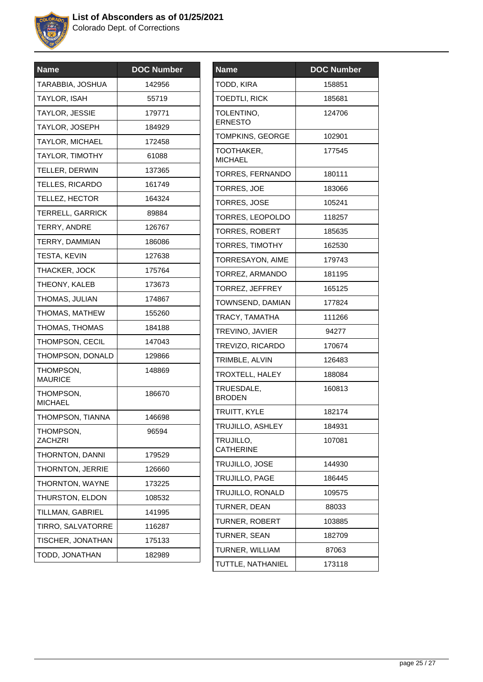

| <b>Name</b>                 | <b>DOC Number</b> |
|-----------------------------|-------------------|
| TARABBIA, JOSHUA            | 142956            |
| TAYLOR, ISAH                | 55719             |
| <b>TAYLOR, JESSIE</b>       | 179771            |
| TAYLOR, JOSEPH              | 184929            |
| <b>TAYLOR, MICHAEL</b>      | 172458            |
| <b>TAYLOR, TIMOTHY</b>      | 61088             |
| <b>TELLER, DERWIN</b>       | 137365            |
| TELLES, RICARDO             | 161749            |
| TELLEZ, HECTOR              | 164324            |
| TERRELL, GARRICK            | 89884             |
| TERRY, ANDRE                | 126767            |
| TERRY, DAMMIAN              | 186086            |
| TESTA, KEVIN                | 127638            |
| THACKER, JOCK               | 175764            |
| THEONY, KALEB               | 173673            |
| THOMAS, JULIAN              | 174867            |
| THOMAS, MATHEW              | 155260            |
| THOMAS, THOMAS              | 184188            |
| THOMPSON, CECIL             | 147043            |
| THOMPSON, DONALD            | 129866            |
| THOMPSON,<br><b>MAURICE</b> | 148869            |
| THOMPSON,<br><b>MICHAEL</b> | 186670            |
| THOMPSON, TIANNA            | 146698            |
| THOMPSON,<br><b>ZACHZRI</b> | 96594             |
| THORNTON, DANNI             | 179529            |
| <b>THORNTON, JERRIE</b>     | 126660            |
| THORNTON, WAYNE             | 173225            |
| THURSTON, ELDON             | 108532            |
| TILLMAN, GABRIEL            | 141995            |
| TIRRO, SALVATORRE           | 116287            |
| TISCHER, JONATHAN           | 175133            |
| TODD, JONATHAN              | 182989            |
|                             |                   |

| <b>Name</b>                   | <b>DOC Number</b> |
|-------------------------------|-------------------|
| TODD, KIRA                    | 158851            |
| <b>TOEDTLI, RICK</b>          | 185681            |
| TOLENTINO,<br><b>ERNESTO</b>  | 124706            |
| <b>TOMPKINS, GEORGE</b>       | 102901            |
| TOOTHAKER,<br><b>MICHAEL</b>  | 177545            |
| TORRES, FERNANDO              | 180111            |
| <b>TORRES, JOE</b>            | 183066            |
| <b>TORRES, JOSE</b>           | 105241            |
| TORRES, LEOPOLDO              | 118257            |
| <b>TORRES, ROBERT</b>         | 185635            |
| TORRES, TIMOTHY               | 162530            |
| TORRESAYON, AIME              | 179743            |
| TORREZ, ARMANDO               | 181195            |
| TORREZ, JEFFREY               | 165125            |
| TOWNSEND, DAMIAN              | 177824            |
| TRACY, TAMATHA                | 111266            |
| TREVINO, JAVIER               | 94277             |
| TREVIZO, RICARDO              | 170674            |
| TRIMBLE, ALVIN                | 126483            |
| TROXTELL, HALEY               | 188084            |
| TRUESDALE,<br><b>BRODEN</b>   | 160813            |
| TRUITT, KYLE                  | 182174            |
| TRUJILLO, ASHLEY              | 184931            |
| TRUJILLO,<br><b>CATHERINE</b> | 107081            |
| TRUJILLO, JOSE                | 144930            |
| TRUJILLO, PAGE                | 186445            |
| TRUJILLO, RONALD              | 109575            |
| TURNER, DEAN                  | 88033             |
| <b>TURNER, ROBERT</b>         | 103885            |
| TURNER, SEAN                  | 182709            |
| TURNER, WILLIAM               | 87063             |
| TUTTLE, NATHANIEL             | 173118            |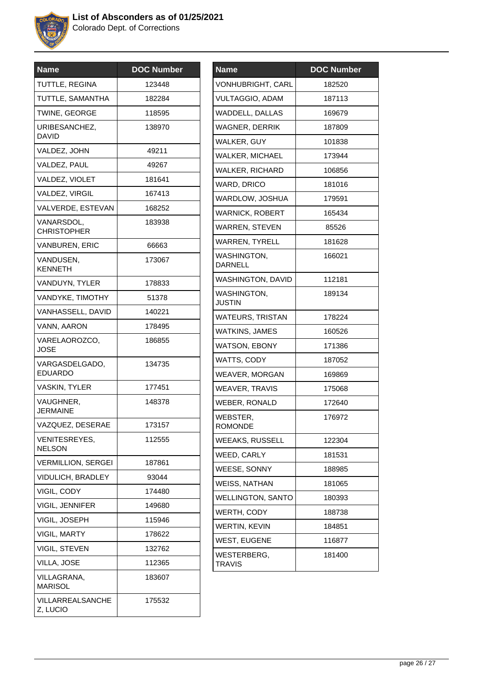

| <b>Name</b>                      | <b>DOC Number</b> |
|----------------------------------|-------------------|
| TUTTLE, REGINA                   | 123448            |
| TUTTLE, SAMANTHA                 | 182284            |
| TWINE, GEORGE                    | 118595            |
| URIBESANCHEZ,<br>DAVID           | 138970            |
| VALDEZ, JOHN                     | 49211             |
| VALDEZ, PAUL                     | 49267             |
| VALDEZ, VIOLET                   | 181641            |
| VALDEZ, VIRGIL                   | 167413            |
| VALVERDE, ESTEVAN                | 168252            |
| VANARSDOL,<br><b>CHRISTOPHER</b> | 183938            |
| <b>VANBUREN, ERIC</b>            | 66663             |
| VANDUSEN.<br><b>KENNETH</b>      | 173067            |
| VANDUYN, TYLER                   | 178833            |
| VANDYKE, TIMOTHY                 | 51378             |
| VANHASSELL, DAVID                | 140221            |
| VANN, AARON                      | 178495            |
| VARELAOROZCO,<br>JOSE            | 186855            |
| VARGASDELGADO,<br><b>EDUARDO</b> | 134735            |
| <b>VASKIN, TYLER</b>             | 177451            |
| VAUGHNER,<br><b>JERMAINE</b>     | 148378            |
| VAZQUEZ, DESERAE                 | 173157            |
| VENITESREYES,<br><b>NELSON</b>   | 112555            |
| <b>VERMILLION, SERGEI</b>        | 187861            |
| <b>VIDULICH, BRADLEY</b>         | 93044             |
| VIGIL, CODY                      | 174480            |
| <b>VIGIL, JENNIFER</b>           | 149680            |
| VIGIL, JOSEPH                    | 115946            |
| <b>VIGIL, MARTY</b>              | 178622            |
| VIGIL, STEVEN                    | 132762            |
| VILLA, JOSE                      | 112365            |
| VILLAGRANA,<br><b>MARISOL</b>    | 183607            |
| VILLARREALSANCHE<br>Z, LUCIO     | 175532            |
|                                  |                   |

| <b>Name</b>              | <b>DOC Number</b> |
|--------------------------|-------------------|
| <b>VONHUBRIGHT, CARL</b> | 182520            |
| <b>VULTAGGIO, ADAM</b>   | 187113            |
| WADDELL, DALLAS          | 169679            |
| <b>WAGNER, DERRIK</b>    | 187809            |
| WALKER, GUY              | 101838            |
| <b>WALKER, MICHAEL</b>   | 173944            |
| <b>WALKER, RICHARD</b>   | 106856            |
| WARD, DRICO              | 181016            |
| WARDLOW, JOSHUA          | 179591            |
| <b>WARNICK, ROBERT</b>   | 165434            |
| <b>WARREN, STEVEN</b>    | 85526             |
| <b>WARREN, TYRELL</b>    | 181628            |
| WASHINGTON,<br>DARNELL   | 166021            |
| WASHINGTON, DAVID        | 112181            |
| WASHINGTON,<br>JUSTIN    | 189134            |
| <b>WATEURS, TRISTAN</b>  | 178224            |
| <b>WATKINS, JAMES</b>    | 160526            |
| <b>WATSON, EBONY</b>     | 171386            |
| WATTS, CODY              | 187052            |
| <b>WEAVER, MORGAN</b>    | 169869            |
| <b>WEAVER, TRAVIS</b>    | 175068            |
| WEBER, RONALD            | 172640            |
| WEBSTER,<br>ROMONDE      | 176972            |
| <b>WEEAKS, RUSSELL</b>   | 122304            |
| WEED, CARLY              | 181531            |
| WEESE, SONNY             | 188985            |
| WEISS, NATHAN            | 181065            |
| <b>WELLINGTON, SANTO</b> | 180393            |
| WERTH, CODY              | 188738            |
| <b>WERTIN, KEVIN</b>     | 184851            |
| <b>WEST, EUGENE</b>      | 116877            |
| WESTERBERG,<br>TRAVIS    | 181400            |